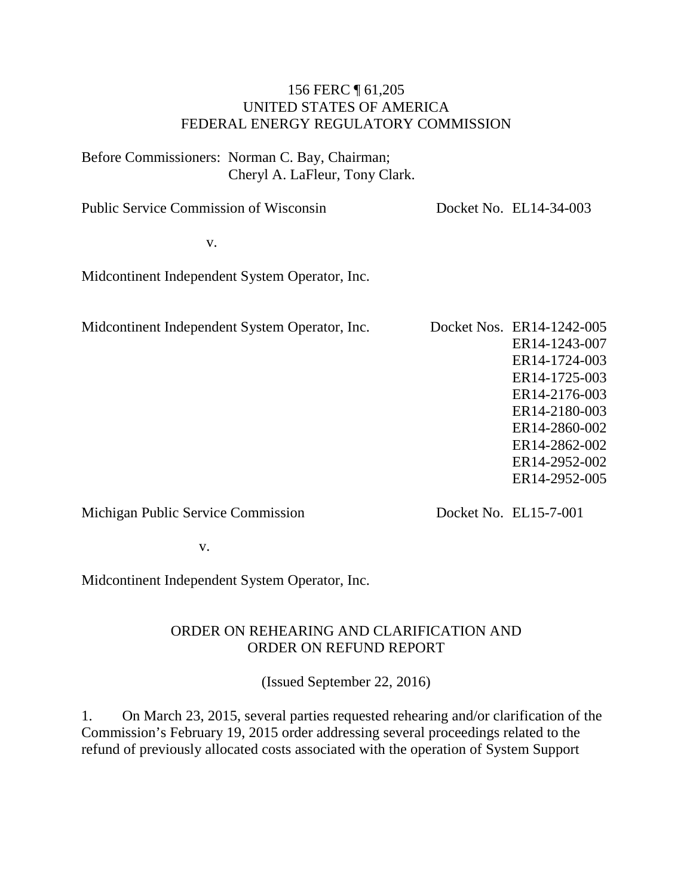#### 156 FERC ¶ 61,205 UNITED STATES OF AMERICA FEDERAL ENERGY REGULATORY COMMISSION

Before Commissioners: Norman C. Bay, Chairman; Cheryl A. LaFleur, Tony Clark.

Public Service Commission of Wisconsin Docket No. EL14-34-003

v.

Midcontinent Independent System Operator, Inc.

Midcontinent Independent System Operator, Inc. Docket Nos. ER14-1242-005 ER14-1243-007 ER14-1724-003 ER14-1725-003 ER14-2176-003 ER14-2180-003 ER14-2860-002 ER14-2862-002 ER14-2952-002 ER14-2952-005

Michigan Public Service Commission

Docket No. EL15-7-001

v.

Midcontinent Independent System Operator, Inc.

#### ORDER ON REHEARING AND CLARIFICATION AND ORDER ON REFUND REPORT

(Issued September 22, 2016)

1. On March 23, 2015, several parties requested rehearing and/or clarification of the Commission's February 19, 2015 order addressing several proceedings related to the refund of previously allocated costs associated with the operation of System Support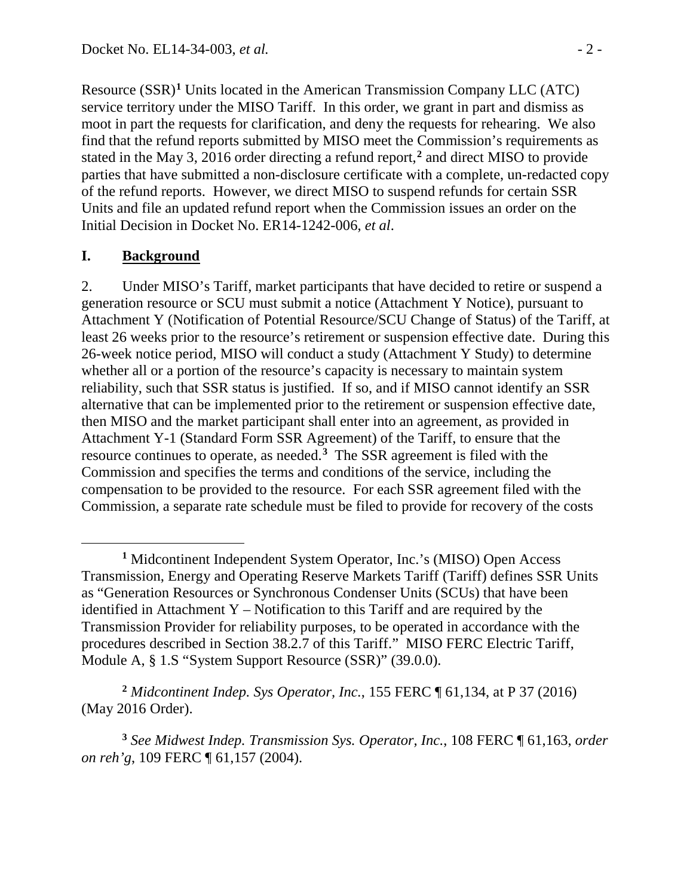Resource (SSR)**[1](#page-1-0)** Units located in the American Transmission Company LLC (ATC) service territory under the MISO Tariff. In this order, we grant in part and dismiss as moot in part the requests for clarification, and deny the requests for rehearing. We also find that the refund reports submitted by MISO meet the Commission's requirements as stated in the May 3, 2016 order directing a refund report, **[2](#page-1-1)** and direct MISO to provide parties that have submitted a non-disclosure certificate with a complete, un-redacted copy of the refund reports. However, we direct MISO to suspend refunds for certain SSR Units and file an updated refund report when the Commission issues an order on the Initial Decision in Docket No. ER14-1242-006, *et al*.

### **I. Background**

 $\overline{a}$ 

2. Under MISO's Tariff, market participants that have decided to retire or suspend a generation resource or SCU must submit a notice (Attachment Y Notice), pursuant to Attachment Y (Notification of Potential Resource/SCU Change of Status) of the Tariff, at least 26 weeks prior to the resource's retirement or suspension effective date. During this 26-week notice period, MISO will conduct a study (Attachment Y Study) to determine whether all or a portion of the resource's capacity is necessary to maintain system reliability, such that SSR status is justified. If so, and if MISO cannot identify an SSR alternative that can be implemented prior to the retirement or suspension effective date, then MISO and the market participant shall enter into an agreement, as provided in Attachment Y-1 (Standard Form SSR Agreement) of the Tariff, to ensure that the resource continues to operate, as needed.**[3](#page-1-2)** The SSR agreement is filed with the Commission and specifies the terms and conditions of the service, including the compensation to be provided to the resource. For each SSR agreement filed with the Commission, a separate rate schedule must be filed to provide for recovery of the costs

<span id="page-1-1"></span>**<sup>2</sup>** *Midcontinent Indep. Sys Operator, Inc.*, 155 FERC ¶ 61,134, at P 37 (2016) (May 2016 Order).

<span id="page-1-2"></span>**<sup>3</sup>** *See Midwest Indep. Transmission Sys. Operator, Inc.*, 108 FERC ¶ 61,163, *order on reh'g*, 109 FERC ¶ 61,157 (2004).

<span id="page-1-0"></span>**<sup>1</sup>** Midcontinent Independent System Operator, Inc.'s (MISO) Open Access Transmission, Energy and Operating Reserve Markets Tariff (Tariff) defines SSR Units as "Generation Resources or Synchronous Condenser Units (SCUs) that have been identified in Attachment Y – Notification to this Tariff and are required by the Transmission Provider for reliability purposes, to be operated in accordance with the procedures described in Section 38.2.7 of this Tariff." MISO FERC Electric Tariff, Module A, § 1.S "System Support Resource (SSR)" (39.0.0).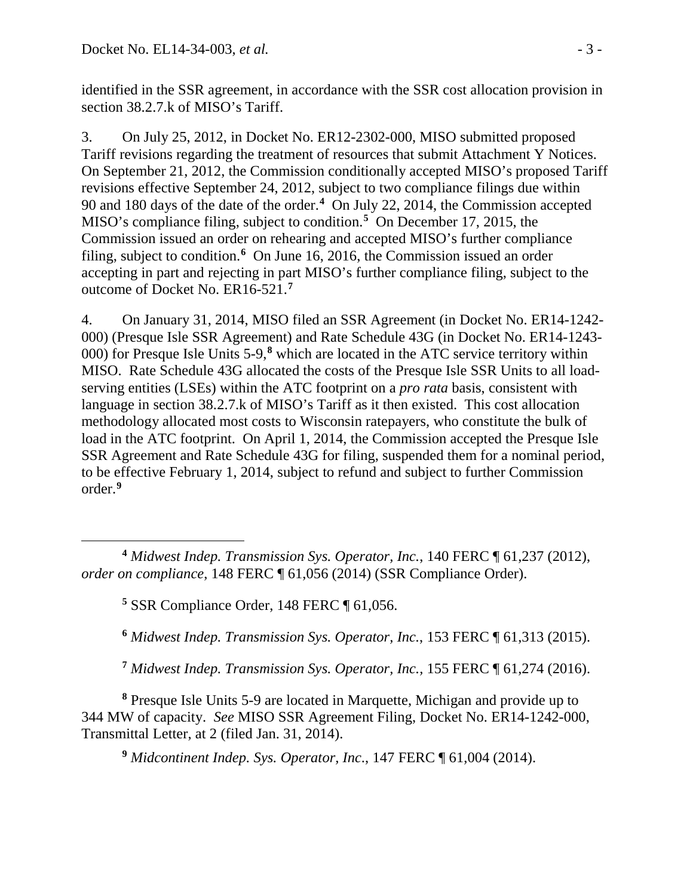identified in the SSR agreement, in accordance with the SSR cost allocation provision in section 38.2.7.k of MISO's Tariff.

3. On July 25, 2012, in Docket No. ER12-2302-000, MISO submitted proposed Tariff revisions regarding the treatment of resources that submit Attachment Y Notices. On September 21, 2012, the Commission conditionally accepted MISO's proposed Tariff revisions effective September 24, 2012, subject to two compliance filings due within 90 and 180 days of the date of the order.**[4](#page-2-0)** On July 22, 2014, the Commission accepted MISO's compliance filing, subject to condition. **[5](#page-2-1)** On December 17, 2015, the Commission issued an order on rehearing and accepted MISO's further compliance filing, subject to condition.**[6](#page-2-2)** On June 16, 2016, the Commission issued an order accepting in part and rejecting in part MISO's further compliance filing, subject to the outcome of Docket No. ER16-521.**[7](#page-2-3)**

4. On January 31, 2014, MISO filed an SSR Agreement (in Docket No. ER14-1242- 000) (Presque Isle SSR Agreement) and Rate Schedule 43G (in Docket No. ER14-1243- 000) for Presque Isle Units 5-9,**[8](#page-2-4)** which are located in the ATC service territory within MISO. Rate Schedule 43G allocated the costs of the Presque Isle SSR Units to all loadserving entities (LSEs) within the ATC footprint on a *pro rata* basis, consistent with language in section 38.2.7.k of MISO's Tariff as it then existed. This cost allocation methodology allocated most costs to Wisconsin ratepayers, who constitute the bulk of load in the ATC footprint. On April 1, 2014, the Commission accepted the Presque Isle SSR Agreement and Rate Schedule 43G for filing, suspended them for a nominal period, to be effective February 1, 2014, subject to refund and subject to further Commission order.**[9](#page-2-5)**

**<sup>5</sup>** SSR Compliance Order, 148 FERC ¶ 61,056.

**<sup>6</sup>** *Midwest Indep. Transmission Sys. Operator, Inc.*, 153 FERC ¶ 61,313 (2015).

**<sup>7</sup>** *Midwest Indep. Transmission Sys. Operator, Inc.,* 155 FERC ¶ 61,274 (2016).

<span id="page-2-5"></span><span id="page-2-4"></span><span id="page-2-3"></span><span id="page-2-2"></span>**<sup>8</sup>** Presque Isle Units 5-9 are located in Marquette, Michigan and provide up to 344 MW of capacity. *See* MISO SSR Agreement Filing, Docket No. ER14-1242-000, Transmittal Letter, at 2 (filed Jan. 31, 2014).

**<sup>9</sup>** *Midcontinent Indep. Sys. Operator, Inc*., 147 FERC ¶ 61,004 (2014).

<span id="page-2-1"></span><span id="page-2-0"></span> $\overline{a}$ **<sup>4</sup>** *Midwest Indep. Transmission Sys. Operator, Inc.*, 140 FERC ¶ 61,237 (2012), *order on compliance*, 148 FERC ¶ 61,056 (2014) (SSR Compliance Order).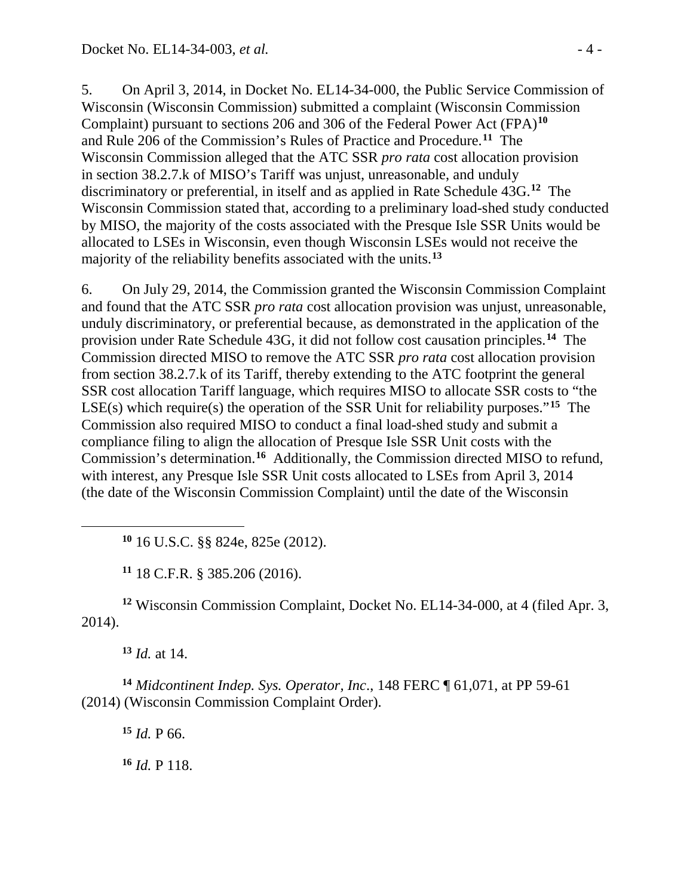5. On April 3, 2014, in Docket No. EL14-34-000, the Public Service Commission of Wisconsin (Wisconsin Commission) submitted a complaint (Wisconsin Commission Complaint) pursuant to sections 206 and 306 of the Federal Power Act (FPA)**[10](#page-3-0)** and Rule 206 of the Commission's Rules of Practice and Procedure. **[11](#page-3-1)** The Wisconsin Commission alleged that the ATC SSR *pro rata* cost allocation provision in section 38.2.7.k of MISO's Tariff was unjust, unreasonable, and unduly discriminatory or preferential, in itself and as applied in Rate Schedule 43G. **[12](#page-3-2)** The Wisconsin Commission stated that, according to a preliminary load-shed study conducted by MISO, the majority of the costs associated with the Presque Isle SSR Units would be allocated to LSEs in Wisconsin, even though Wisconsin LSEs would not receive the majority of the reliability benefits associated with the units. **[13](#page-3-3)**

6. On July 29, 2014, the Commission granted the Wisconsin Commission Complaint and found that the ATC SSR *pro rata* cost allocation provision was unjust, unreasonable, unduly discriminatory, or preferential because, as demonstrated in the application of the provision under Rate Schedule 43G, it did not follow cost causation principles.**[14](#page-3-4)** The Commission directed MISO to remove the ATC SSR *pro rata* cost allocation provision from section 38.2.7.k of its Tariff, thereby extending to the ATC footprint the general SSR cost allocation Tariff language, which requires MISO to allocate SSR costs to "the LSE(s) which require(s) the operation of the SSR Unit for reliability purposes."**[15](#page-3-5)** The Commission also required MISO to conduct a final load-shed study and submit a compliance filing to align the allocation of Presque Isle SSR Unit costs with the Commission's determination.**[16](#page-3-6)** Additionally, the Commission directed MISO to refund, with interest, any Presque Isle SSR Unit costs allocated to LSEs from April 3, 2014 (the date of the Wisconsin Commission Complaint) until the date of the Wisconsin

**<sup>10</sup>** 16 U.S.C. §§ 824e, 825e (2012).

**<sup>11</sup>** 18 C.F.R. § 385.206 (2016).

<span id="page-3-2"></span><span id="page-3-1"></span>**<sup>12</sup>** Wisconsin Commission Complaint, Docket No. EL14-34-000, at 4 (filed Apr. 3, 2014).

**<sup>13</sup>** *Id.* at 14.

<span id="page-3-0"></span> $\overline{a}$ 

<span id="page-3-6"></span><span id="page-3-5"></span><span id="page-3-4"></span><span id="page-3-3"></span>**<sup>14</sup>** *Midcontinent Indep. Sys. Operator, Inc*., 148 FERC ¶ 61,071, at PP 59-61 (2014) (Wisconsin Commission Complaint Order).

**<sup>15</sup>** *Id.* P 66.

**<sup>16</sup>** *Id.* P 118.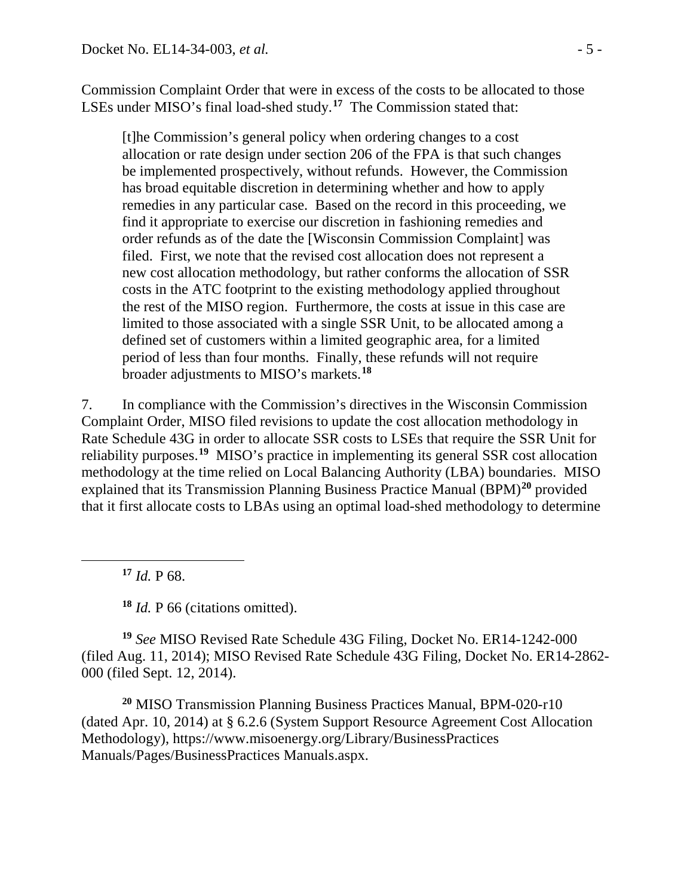Commission Complaint Order that were in excess of the costs to be allocated to those LSEs under MISO's final load-shed study.**[17](#page-4-0)** The Commission stated that:

[t]he Commission's general policy when ordering changes to a cost allocation or rate design under section 206 of the FPA is that such changes be implemented prospectively, without refunds. However, the Commission has broad equitable discretion in determining whether and how to apply remedies in any particular case. Based on the record in this proceeding, we find it appropriate to exercise our discretion in fashioning remedies and order refunds as of the date the [Wisconsin Commission Complaint] was filed. First, we note that the revised cost allocation does not represent a new cost allocation methodology, but rather conforms the allocation of SSR costs in the ATC footprint to the existing methodology applied throughout the rest of the MISO region. Furthermore, the costs at issue in this case are limited to those associated with a single SSR Unit, to be allocated among a defined set of customers within a limited geographic area, for a limited period of less than four months. Finally, these refunds will not require broader adjustments to MISO's markets. **[18](#page-4-1)**

7. In compliance with the Commission's directives in the Wisconsin Commission Complaint Order, MISO filed revisions to update the cost allocation methodology in Rate Schedule 43G in order to allocate SSR costs to LSEs that require the SSR Unit for reliability purposes. **[19](#page-4-2)** MISO's practice in implementing its general SSR cost allocation methodology at the time relied on Local Balancing Authority (LBA) boundaries. MISO explained that its Transmission Planning Business Practice Manual (BPM)**[20](#page-4-3)** provided that it first allocate costs to LBAs using an optimal load-shed methodology to determine

**<sup>17</sup>** *Id.* P 68.

<span id="page-4-0"></span> $\overline{a}$ 

**<sup>18</sup>** *Id.* P 66 (citations omitted).

<span id="page-4-2"></span><span id="page-4-1"></span>**<sup>19</sup>** *See* MISO Revised Rate Schedule 43G Filing, Docket No. ER14-1242-000 (filed Aug. 11, 2014); MISO Revised Rate Schedule 43G Filing, Docket No. ER14-2862- 000 (filed Sept. 12, 2014).

<span id="page-4-3"></span>**<sup>20</sup>** MISO Transmission Planning Business Practices Manual, BPM-020-r10 (dated Apr. 10, 2014) at § 6.2.6 (System Support Resource Agreement Cost Allocation Methodology), https://www.misoenergy.org/Library/BusinessPractices Manuals/Pages/BusinessPractices Manuals.aspx.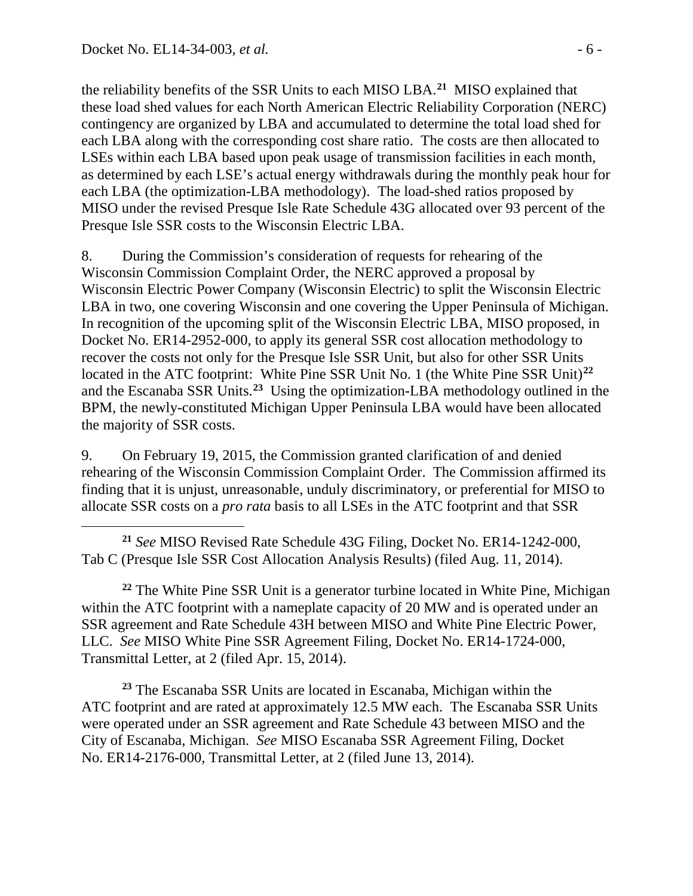$\overline{a}$ 

the reliability benefits of the SSR Units to each MISO LBA.**[21](#page-5-0)** MISO explained that these load shed values for each North American Electric Reliability Corporation (NERC) contingency are organized by LBA and accumulated to determine the total load shed for each LBA along with the corresponding cost share ratio. The costs are then allocated to LSEs within each LBA based upon peak usage of transmission facilities in each month, as determined by each LSE's actual energy withdrawals during the monthly peak hour for each LBA (the optimization-LBA methodology). The load-shed ratios proposed by MISO under the revised Presque Isle Rate Schedule 43G allocated over 93 percent of the Presque Isle SSR costs to the Wisconsin Electric LBA.

8. During the Commission's consideration of requests for rehearing of the Wisconsin Commission Complaint Order, the NERC approved a proposal by Wisconsin Electric Power Company (Wisconsin Electric) to split the Wisconsin Electric LBA in two, one covering Wisconsin and one covering the Upper Peninsula of Michigan. In recognition of the upcoming split of the Wisconsin Electric LBA, MISO proposed, in Docket No. ER14-2952-000, to apply its general SSR cost allocation methodology to recover the costs not only for the Presque Isle SSR Unit, but also for other SSR Units located in the ATC footprint: White Pine SSR Unit No. 1 (the White Pine SSR Unit)**[22](#page-5-1)** and the Escanaba SSR Units. **[23](#page-5-2)** Using the optimization-LBA methodology outlined in the BPM, the newly-constituted Michigan Upper Peninsula LBA would have been allocated the majority of SSR costs.

9. On February 19, 2015, the Commission granted clarification of and denied rehearing of the Wisconsin Commission Complaint Order. The Commission affirmed its finding that it is unjust, unreasonable, unduly discriminatory, or preferential for MISO to allocate SSR costs on a *pro rata* basis to all LSEs in the ATC footprint and that SSR

<span id="page-5-0"></span>**<sup>21</sup>** *See* MISO Revised Rate Schedule 43G Filing, Docket No. ER14-1242-000, Tab C (Presque Isle SSR Cost Allocation Analysis Results) (filed Aug. 11, 2014).

<span id="page-5-1"></span>**<sup>22</sup>** The White Pine SSR Unit is a generator turbine located in White Pine, Michigan within the ATC footprint with a nameplate capacity of 20 MW and is operated under an SSR agreement and Rate Schedule 43H between MISO and White Pine Electric Power, LLC. *See* MISO White Pine SSR Agreement Filing, Docket No. ER14-1724-000, Transmittal Letter, at 2 (filed Apr. 15, 2014).

<span id="page-5-2"></span>**<sup>23</sup>** The Escanaba SSR Units are located in Escanaba, Michigan within the ATC footprint and are rated at approximately 12.5 MW each. The Escanaba SSR Units were operated under an SSR agreement and Rate Schedule 43 between MISO and the City of Escanaba, Michigan. *See* MISO Escanaba SSR Agreement Filing, Docket No. ER14-2176-000, Transmittal Letter, at 2 (filed June 13, 2014).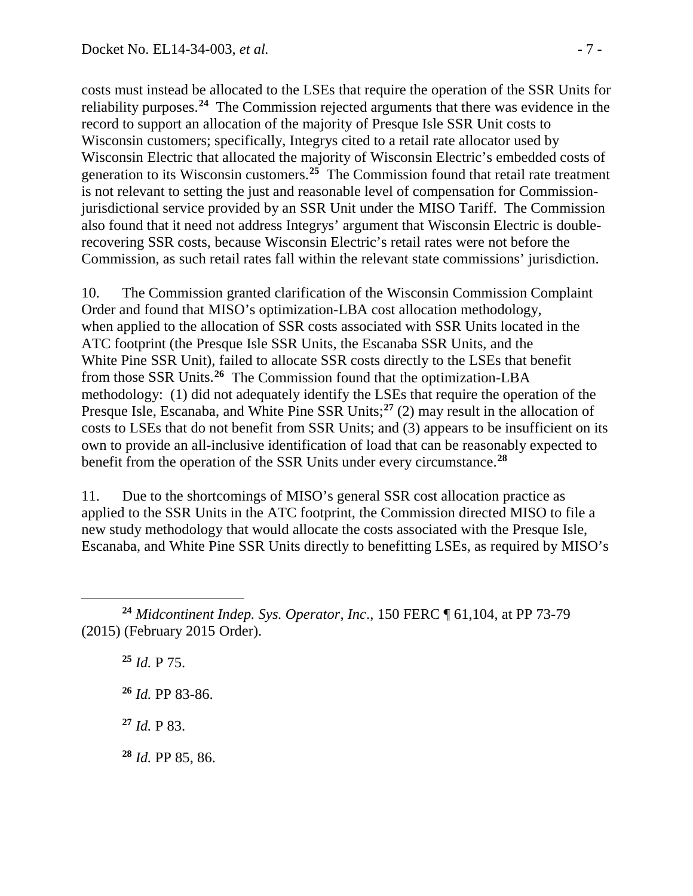costs must instead be allocated to the LSEs that require the operation of the SSR Units for reliability purposes.**[24](#page-6-0)** The Commission rejected arguments that there was evidence in the record to support an allocation of the majority of Presque Isle SSR Unit costs to Wisconsin customers; specifically, Integrys cited to a retail rate allocator used by Wisconsin Electric that allocated the majority of Wisconsin Electric's embedded costs of generation to its Wisconsin customers.**[25](#page-6-1)** The Commission found that retail rate treatment is not relevant to setting the just and reasonable level of compensation for Commissionjurisdictional service provided by an SSR Unit under the MISO Tariff. The Commission also found that it need not address Integrys' argument that Wisconsin Electric is doublerecovering SSR costs, because Wisconsin Electric's retail rates were not before the Commission, as such retail rates fall within the relevant state commissions' jurisdiction.

10. The Commission granted clarification of the Wisconsin Commission Complaint Order and found that MISO's optimization-LBA cost allocation methodology, when applied to the allocation of SSR costs associated with SSR Units located in the ATC footprint (the Presque Isle SSR Units, the Escanaba SSR Units, and the White Pine SSR Unit), failed to allocate SSR costs directly to the LSEs that benefit from those SSR Units.**[26](#page-6-2)** The Commission found that the optimization-LBA methodology: (1) did not adequately identify the LSEs that require the operation of the Presque Isle, Escanaba, and White Pine SSR Units;**[27](#page-6-3)** (2) may result in the allocation of costs to LSEs that do not benefit from SSR Units; and (3) appears to be insufficient on its own to provide an all-inclusive identification of load that can be reasonably expected to benefit from the operation of the SSR Units under every circumstance.**[28](#page-6-4)**

11. Due to the shortcomings of MISO's general SSR cost allocation practice as applied to the SSR Units in the ATC footprint, the Commission directed MISO to file a new study methodology that would allocate the costs associated with the Presque Isle, Escanaba, and White Pine SSR Units directly to benefitting LSEs, as required by MISO's

**<sup>25</sup>** *Id.* P 75. **<sup>26</sup>** *Id.* PP 83-86.

 $\overline{a}$ 

<span id="page-6-3"></span>**<sup>27</sup>** *Id.* P 83.

<span id="page-6-4"></span>**<sup>28</sup>** *Id.* PP 85, 86.

<span id="page-6-2"></span><span id="page-6-1"></span><span id="page-6-0"></span>**<sup>24</sup>** *Midcontinent Indep. Sys. Operator, Inc*., 150 FERC ¶ 61,104, at PP 73-79 (2015) (February 2015 Order).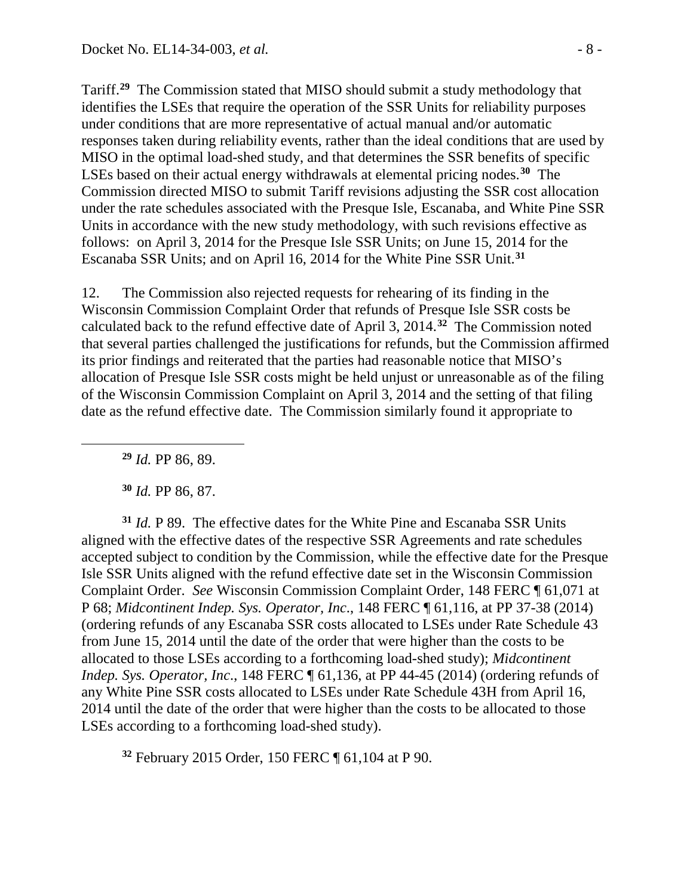Tariff. **[29](#page-7-0)** The Commission stated that MISO should submit a study methodology that identifies the LSEs that require the operation of the SSR Units for reliability purposes under conditions that are more representative of actual manual and/or automatic responses taken during reliability events, rather than the ideal conditions that are used by MISO in the optimal load-shed study, and that determines the SSR benefits of specific LSEs based on their actual energy withdrawals at elemental pricing nodes.**[30](#page-7-1)** The Commission directed MISO to submit Tariff revisions adjusting the SSR cost allocation under the rate schedules associated with the Presque Isle, Escanaba, and White Pine SSR Units in accordance with the new study methodology, with such revisions effective as follows: on April 3, 2014 for the Presque Isle SSR Units; on June 15, 2014 for the Escanaba SSR Units; and on April 16, 2014 for the White Pine SSR Unit. **[31](#page-7-2)**

12. The Commission also rejected requests for rehearing of its finding in the Wisconsin Commission Complaint Order that refunds of Presque Isle SSR costs be calculated back to the refund effective date of April 3, 2014.**[32](#page-7-3)** The Commission noted that several parties challenged the justifications for refunds, but the Commission affirmed its prior findings and reiterated that the parties had reasonable notice that MISO's allocation of Presque Isle SSR costs might be held unjust or unreasonable as of the filing of the Wisconsin Commission Complaint on April 3, 2014 and the setting of that filing date as the refund effective date. The Commission similarly found it appropriate to

**<sup>29</sup>** *Id.* PP 86, 89.

<span id="page-7-0"></span> $\overline{a}$ 

**<sup>30</sup>** *Id.* PP 86, 87.

<span id="page-7-2"></span><span id="page-7-1"></span>**<sup>31</sup>** *Id.* P 89. The effective dates for the White Pine and Escanaba SSR Units aligned with the effective dates of the respective SSR Agreements and rate schedules accepted subject to condition by the Commission, while the effective date for the Presque Isle SSR Units aligned with the refund effective date set in the Wisconsin Commission Complaint Order. *See* Wisconsin Commission Complaint Order, 148 FERC ¶ 61,071 at P 68; *Midcontinent Indep. Sys. Operator, Inc*., 148 FERC ¶ 61,116, at PP 37-38 (2014) (ordering refunds of any Escanaba SSR costs allocated to LSEs under Rate Schedule 43 from June 15, 2014 until the date of the order that were higher than the costs to be allocated to those LSEs according to a forthcoming load-shed study); *Midcontinent Indep. Sys. Operator, Inc*., 148 FERC ¶ 61,136, at PP 44-45 (2014) (ordering refunds of any White Pine SSR costs allocated to LSEs under Rate Schedule 43H from April 16, 2014 until the date of the order that were higher than the costs to be allocated to those LSEs according to a forthcoming load-shed study).

<span id="page-7-3"></span>**<sup>32</sup>** February 2015 Order, 150 FERC ¶ 61,104 at P 90.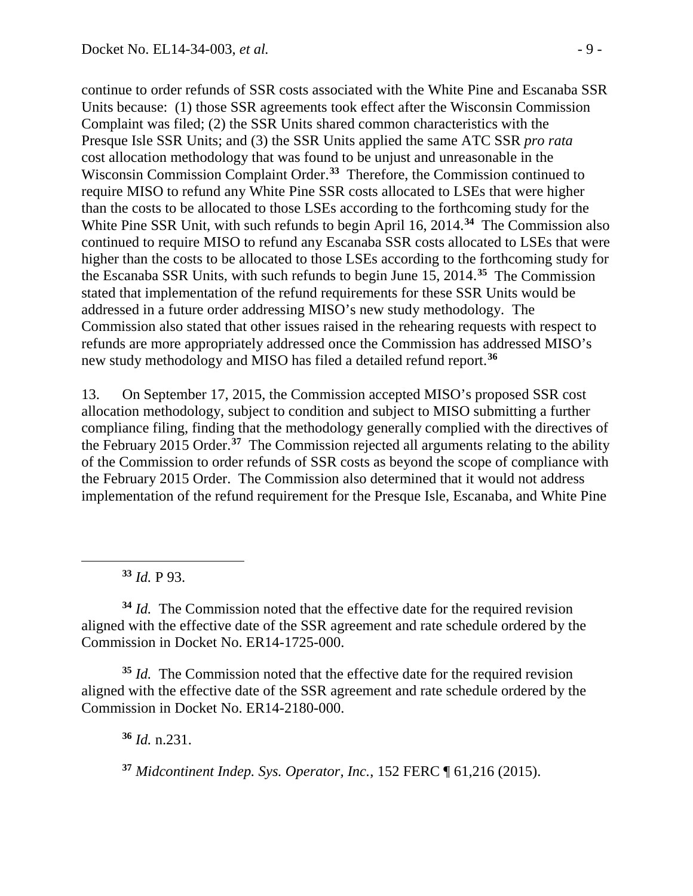continue to order refunds of SSR costs associated with the White Pine and Escanaba SSR Units because: (1) those SSR agreements took effect after the Wisconsin Commission Complaint was filed; (2) the SSR Units shared common characteristics with the Presque Isle SSR Units; and (3) the SSR Units applied the same ATC SSR *pro rata* cost allocation methodology that was found to be unjust and unreasonable in the Wisconsin Commission Complaint Order. **[33](#page-8-0)** Therefore, the Commission continued to require MISO to refund any White Pine SSR costs allocated to LSEs that were higher than the costs to be allocated to those LSEs according to the forthcoming study for the White Pine SSR Unit, with such refunds to begin April 16, 2014.**[34](#page-8-1)** The Commission also continued to require MISO to refund any Escanaba SSR costs allocated to LSEs that were higher than the costs to be allocated to those LSEs according to the forthcoming study for the Escanaba SSR Units, with such refunds to begin June 15, 2014.**[35](#page-8-2)** The Commission stated that implementation of the refund requirements for these SSR Units would be addressed in a future order addressing MISO's new study methodology. The Commission also stated that other issues raised in the rehearing requests with respect to refunds are more appropriately addressed once the Commission has addressed MISO's new study methodology and MISO has filed a detailed refund report.**[36](#page-8-3)**

13. On September 17, 2015, the Commission accepted MISO's proposed SSR cost allocation methodology, subject to condition and subject to MISO submitting a further compliance filing, finding that the methodology generally complied with the directives of the February 2015 Order. **[37](#page-8-4)** The Commission rejected all arguments relating to the ability of the Commission to order refunds of SSR costs as beyond the scope of compliance with the February 2015 Order. The Commission also determined that it would not address implementation of the refund requirement for the Presque Isle, Escanaba, and White Pine

**<sup>33</sup>** *Id.* P 93.

<span id="page-8-0"></span> $\overline{a}$ 

<span id="page-8-1"></span>**<sup>34</sup>** *Id.* The Commission noted that the effective date for the required revision aligned with the effective date of the SSR agreement and rate schedule ordered by the Commission in Docket No. ER14-1725-000.

<span id="page-8-3"></span><span id="page-8-2"></span>**<sup>35</sup>** *Id.* The Commission noted that the effective date for the required revision aligned with the effective date of the SSR agreement and rate schedule ordered by the Commission in Docket No. ER14-2180-000.

**<sup>36</sup>** *Id.* n.231.

<span id="page-8-4"></span>**<sup>37</sup>** *Midcontinent Indep. Sys. Operator, Inc.*, 152 FERC ¶ 61,216 (2015).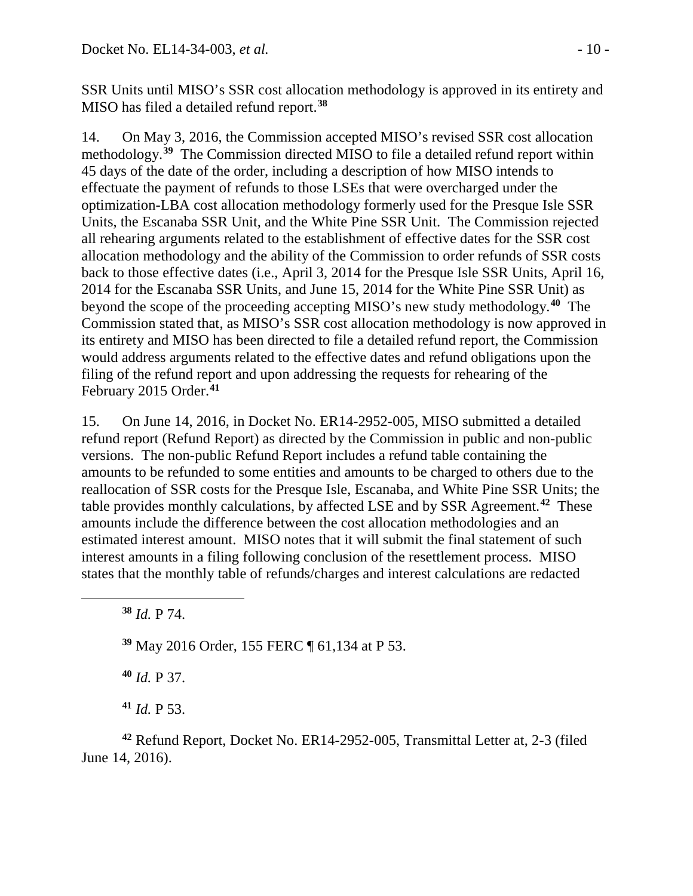SSR Units until MISO's SSR cost allocation methodology is approved in its entirety and MISO has filed a detailed refund report.**[38](#page-9-0)**

14. On May 3, 2016, the Commission accepted MISO's revised SSR cost allocation methodology.**[39](#page-9-1)** The Commission directed MISO to file a detailed refund report within 45 days of the date of the order, including a description of how MISO intends to effectuate the payment of refunds to those LSEs that were overcharged under the optimization-LBA cost allocation methodology formerly used for the Presque Isle SSR Units, the Escanaba SSR Unit, and the White Pine SSR Unit. The Commission rejected all rehearing arguments related to the establishment of effective dates for the SSR cost allocation methodology and the ability of the Commission to order refunds of SSR costs back to those effective dates (i.e., April 3, 2014 for the Presque Isle SSR Units, April 16, 2014 for the Escanaba SSR Units, and June 15, 2014 for the White Pine SSR Unit) as beyond the scope of the proceeding accepting MISO's new study methodology.**[40](#page-9-2)** The Commission stated that, as MISO's SSR cost allocation methodology is now approved in its entirety and MISO has been directed to file a detailed refund report, the Commission would address arguments related to the effective dates and refund obligations upon the filing of the refund report and upon addressing the requests for rehearing of the February 2015 Order.**[41](#page-9-3)**

15. On June 14, 2016, in Docket No. ER14-2952-005, MISO submitted a detailed refund report (Refund Report) as directed by the Commission in public and non-public versions. The non-public Refund Report includes a refund table containing the amounts to be refunded to some entities and amounts to be charged to others due to the reallocation of SSR costs for the Presque Isle, Escanaba, and White Pine SSR Units; the table provides monthly calculations, by affected LSE and by SSR Agreement.**[42](#page-9-4)** These amounts include the difference between the cost allocation methodologies and an estimated interest amount. MISO notes that it will submit the final statement of such interest amounts in a filing following conclusion of the resettlement process. MISO states that the monthly table of refunds/charges and interest calculations are redacted

**<sup>38</sup>** *Id.* P 74.

<span id="page-9-1"></span><span id="page-9-0"></span> $\overline{a}$ 

**<sup>39</sup>** May 2016 Order, 155 FERC ¶ 61,134 at P 53.

**<sup>40</sup>** *Id.* P 37.

**<sup>41</sup>** *Id.* P 53.

<span id="page-9-4"></span><span id="page-9-3"></span><span id="page-9-2"></span>**<sup>42</sup>** Refund Report, Docket No. ER14-2952-005, Transmittal Letter at, 2-3 (filed June 14, 2016).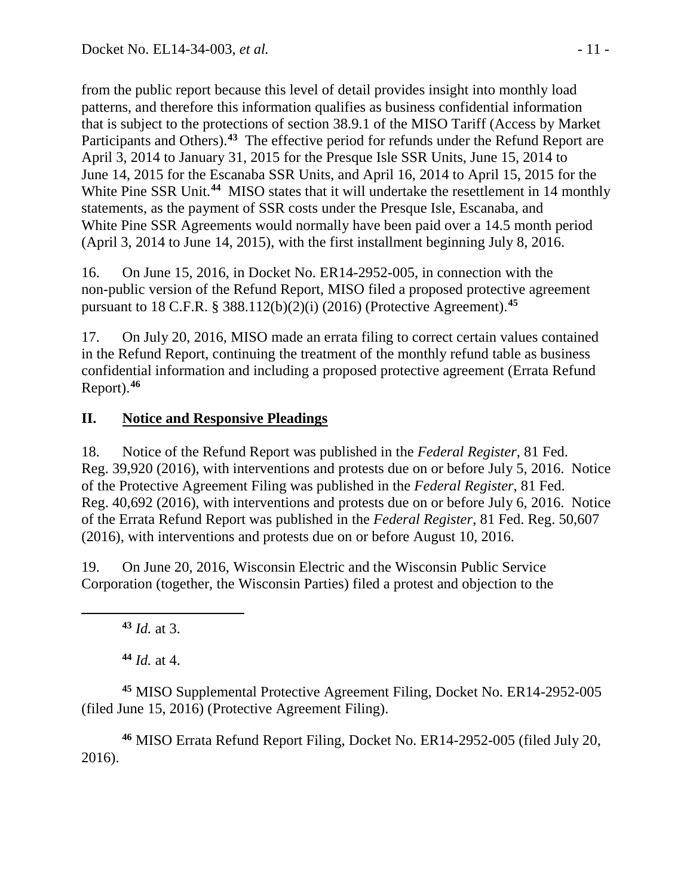from the public report because this level of detail provides insight into monthly load patterns, and therefore this information qualifies as business confidential information that is subject to the protections of section 38.9.1 of the MISO Tariff (Access by Market Participants and Others).**[43](#page-10-0)** The effective period for refunds under the Refund Report are April 3, 2014 to January 31, 2015 for the Presque Isle SSR Units, June 15, 2014 to June 14, 2015 for the Escanaba SSR Units, and April 16, 2014 to April 15, 2015 for the White Pine SSR Unit.<sup>[44](#page-10-1)</sup> MISO states that it will undertake the resettlement in 14 monthly statements, as the payment of SSR costs under the Presque Isle, Escanaba, and White Pine SSR Agreements would normally have been paid over a 14.5 month period (April 3, 2014 to June 14, 2015), with the first installment beginning July 8, 2016.

16. On June 15, 2016, in Docket No. ER14-2952-005, in connection with the non-public version of the Refund Report, MISO filed a proposed protective agreement pursuant to 18 C.F.R. § 388.112(b)(2)(i) (2016) (Protective Agreement). **[45](#page-10-2)**

17. On July 20, 2016, MISO made an errata filing to correct certain values contained in the Refund Report, continuing the treatment of the monthly refund table as business confidential information and including a proposed protective agreement (Errata Refund Report). **[46](#page-10-3)**

## **II. Notice and Responsive Pleadings**

18. Notice of the Refund Report was published in the *Federal Register*, 81 Fed. Reg. 39,920 (2016), with interventions and protests due on or before July 5, 2016. Notice of the Protective Agreement Filing was published in the *Federal Register*, 81 Fed. Reg. 40,692 (2016), with interventions and protests due on or before July 6, 2016. Notice of the Errata Refund Report was published in the *Federal Register*, 81 Fed. Reg. 50,607 (2016), with interventions and protests due on or before August 10, 2016.

19. On June 20, 2016, Wisconsin Electric and the Wisconsin Public Service Corporation (together, the Wisconsin Parties) filed a protest and objection to the

**<sup>43</sup>** *Id.* at 3.

<span id="page-10-0"></span> $\overline{a}$ 

**<sup>44</sup>** *Id.* at 4.

<span id="page-10-2"></span><span id="page-10-1"></span>**<sup>45</sup>** MISO Supplemental Protective Agreement Filing, Docket No. ER14-2952-005 (filed June 15, 2016) (Protective Agreement Filing).

<span id="page-10-3"></span>**<sup>46</sup>** MISO Errata Refund Report Filing, Docket No. ER14-2952-005 (filed July 20, 2016).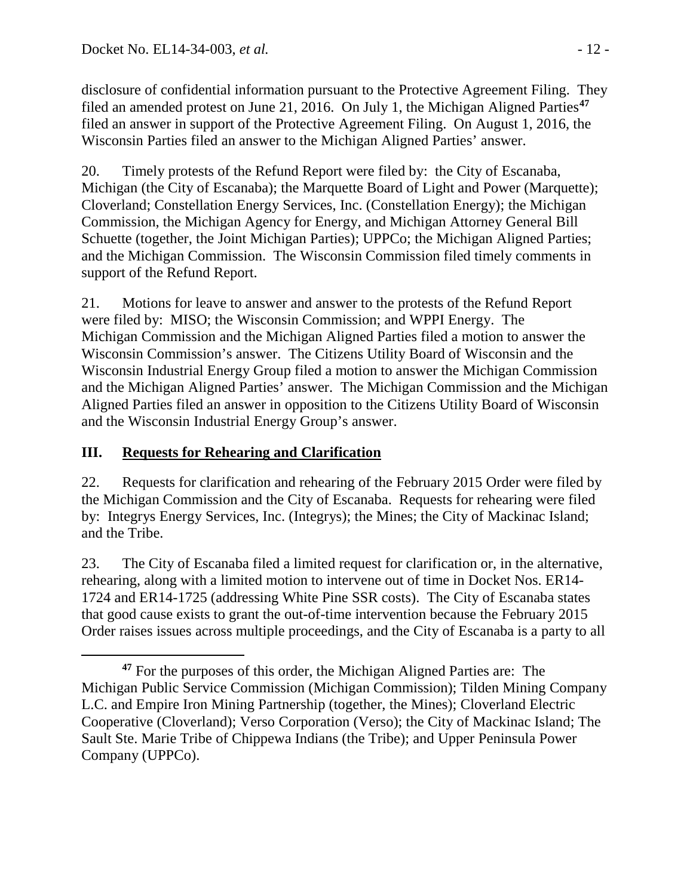disclosure of confidential information pursuant to the Protective Agreement Filing. They filed an amended protest on June 21, 2016. On July 1, the Michigan Aligned Parties**[47](#page-11-0)** filed an answer in support of the Protective Agreement Filing. On August 1, 2016, the Wisconsin Parties filed an answer to the Michigan Aligned Parties' answer.

20. Timely protests of the Refund Report were filed by: the City of Escanaba, Michigan (the City of Escanaba); the Marquette Board of Light and Power (Marquette); Cloverland; Constellation Energy Services, Inc. (Constellation Energy); the Michigan Commission, the Michigan Agency for Energy, and Michigan Attorney General Bill Schuette (together, the Joint Michigan Parties); UPPCo; the Michigan Aligned Parties; and the Michigan Commission. The Wisconsin Commission filed timely comments in support of the Refund Report.

21. Motions for leave to answer and answer to the protests of the Refund Report were filed by: MISO; the Wisconsin Commission; and WPPI Energy. The Michigan Commission and the Michigan Aligned Parties filed a motion to answer the Wisconsin Commission's answer. The Citizens Utility Board of Wisconsin and the Wisconsin Industrial Energy Group filed a motion to answer the Michigan Commission and the Michigan Aligned Parties' answer. The Michigan Commission and the Michigan Aligned Parties filed an answer in opposition to the Citizens Utility Board of Wisconsin and the Wisconsin Industrial Energy Group's answer.

## **III. Requests for Rehearing and Clarification**

22. Requests for clarification and rehearing of the February 2015 Order were filed by the Michigan Commission and the City of Escanaba. Requests for rehearing were filed by: Integrys Energy Services, Inc. (Integrys); the Mines; the City of Mackinac Island; and the Tribe.

23. The City of Escanaba filed a limited request for clarification or, in the alternative, rehearing, along with a limited motion to intervene out of time in Docket Nos. ER14- 1724 and ER14-1725 (addressing White Pine SSR costs). The City of Escanaba states that good cause exists to grant the out-of-time intervention because the February 2015 Order raises issues across multiple proceedings, and the City of Escanaba is a party to all

<span id="page-11-0"></span> $\overline{a}$ **<sup>47</sup>** For the purposes of this order, the Michigan Aligned Parties are: The Michigan Public Service Commission (Michigan Commission); Tilden Mining Company L.C. and Empire Iron Mining Partnership (together, the Mines); Cloverland Electric Cooperative (Cloverland); Verso Corporation (Verso); the City of Mackinac Island; The Sault Ste. Marie Tribe of Chippewa Indians (the Tribe); and Upper Peninsula Power Company (UPPCo).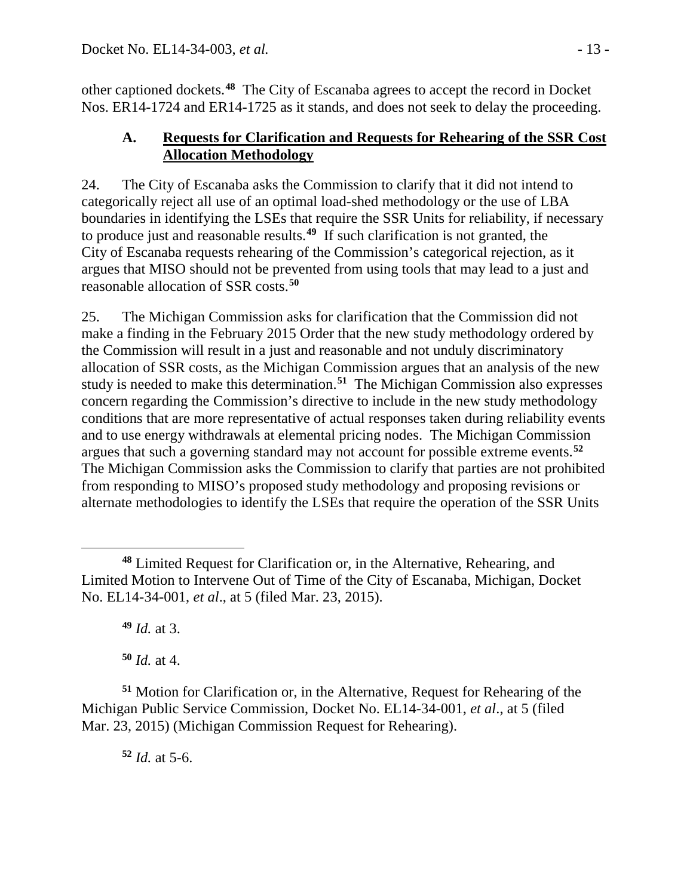other captioned dockets.**[48](#page-12-0)** The City of Escanaba agrees to accept the record in Docket Nos. ER14-1724 and ER14-1725 as it stands, and does not seek to delay the proceeding.

### **A. Requests for Clarification and Requests for Rehearing of the SSR Cost Allocation Methodology**

24. The City of Escanaba asks the Commission to clarify that it did not intend to categorically reject all use of an optimal load-shed methodology or the use of LBA boundaries in identifying the LSEs that require the SSR Units for reliability, if necessary to produce just and reasonable results.**[49](#page-12-1)** If such clarification is not granted, the City of Escanaba requests rehearing of the Commission's categorical rejection, as it argues that MISO should not be prevented from using tools that may lead to a just and reasonable allocation of SSR costs. **[50](#page-12-2)**

25. The Michigan Commission asks for clarification that the Commission did not make a finding in the February 2015 Order that the new study methodology ordered by the Commission will result in a just and reasonable and not unduly discriminatory allocation of SSR costs, as the Michigan Commission argues that an analysis of the new study is needed to make this determination.**[51](#page-12-3)** The Michigan Commission also expresses concern regarding the Commission's directive to include in the new study methodology conditions that are more representative of actual responses taken during reliability events and to use energy withdrawals at elemental pricing nodes. The Michigan Commission argues that such a governing standard may not account for possible extreme events.**[52](#page-12-4)** The Michigan Commission asks the Commission to clarify that parties are not prohibited from responding to MISO's proposed study methodology and proposing revisions or alternate methodologies to identify the LSEs that require the operation of the SSR Units

**<sup>49</sup>** *Id.* at 3.

**<sup>50</sup>** *Id.* at 4.

<span id="page-12-4"></span><span id="page-12-3"></span><span id="page-12-2"></span><span id="page-12-1"></span>**<sup>51</sup>** Motion for Clarification or, in the Alternative, Request for Rehearing of the Michigan Public Service Commission, Docket No. EL14-34-001, *et al*., at 5 (filed Mar. 23, 2015) (Michigan Commission Request for Rehearing).

**<sup>52</sup>** *Id.* at 5-6.

<span id="page-12-0"></span> $\overline{a}$ **<sup>48</sup>** Limited Request for Clarification or, in the Alternative, Rehearing, and Limited Motion to Intervene Out of Time of the City of Escanaba, Michigan, Docket No. EL14-34-001, *et al*., at 5 (filed Mar. 23, 2015).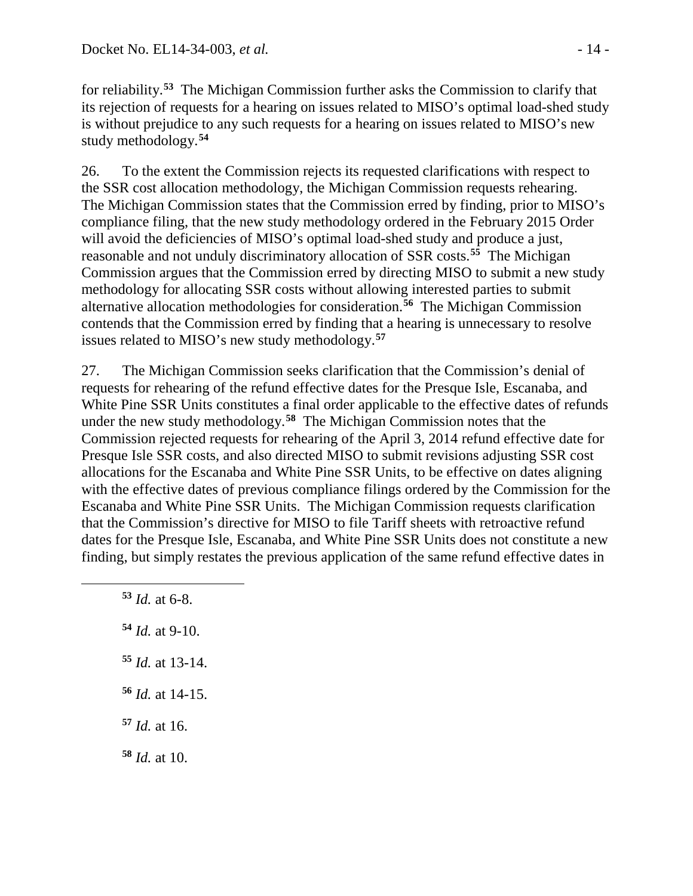for reliability.**[53](#page-13-0)** The Michigan Commission further asks the Commission to clarify that its rejection of requests for a hearing on issues related to MISO's optimal load-shed study is without prejudice to any such requests for a hearing on issues related to MISO's new study methodology.**[54](#page-13-1)**

26. To the extent the Commission rejects its requested clarifications with respect to the SSR cost allocation methodology, the Michigan Commission requests rehearing. The Michigan Commission states that the Commission erred by finding, prior to MISO's compliance filing, that the new study methodology ordered in the February 2015 Order will avoid the deficiencies of MISO's optimal load-shed study and produce a just, reasonable and not unduly discriminatory allocation of SSR costs.**[55](#page-13-2)** The Michigan Commission argues that the Commission erred by directing MISO to submit a new study methodology for allocating SSR costs without allowing interested parties to submit alternative allocation methodologies for consideration.**[56](#page-13-3)** The Michigan Commission contends that the Commission erred by finding that a hearing is unnecessary to resolve issues related to MISO's new study methodology.**[57](#page-13-4)**

27. The Michigan Commission seeks clarification that the Commission's denial of requests for rehearing of the refund effective dates for the Presque Isle, Escanaba, and White Pine SSR Units constitutes a final order applicable to the effective dates of refunds under the new study methodology.**[58](#page-13-5)** The Michigan Commission notes that the Commission rejected requests for rehearing of the April 3, 2014 refund effective date for Presque Isle SSR costs, and also directed MISO to submit revisions adjusting SSR cost allocations for the Escanaba and White Pine SSR Units, to be effective on dates aligning with the effective dates of previous compliance filings ordered by the Commission for the Escanaba and White Pine SSR Units. The Michigan Commission requests clarification that the Commission's directive for MISO to file Tariff sheets with retroactive refund dates for the Presque Isle, Escanaba, and White Pine SSR Units does not constitute a new finding, but simply restates the previous application of the same refund effective dates in

**<sup>53</sup>** *Id.* at 6-8.

<span id="page-13-2"></span><span id="page-13-1"></span><span id="page-13-0"></span> $\overline{a}$ 

- **<sup>54</sup>** *Id.* at 9-10.
- **<sup>55</sup>** *Id.* at 13-14.
- <span id="page-13-3"></span>**<sup>56</sup>** *Id.* at 14-15.
- <span id="page-13-4"></span>**<sup>57</sup>** *Id.* at 16.
- <span id="page-13-5"></span>**<sup>58</sup>** *Id.* at 10.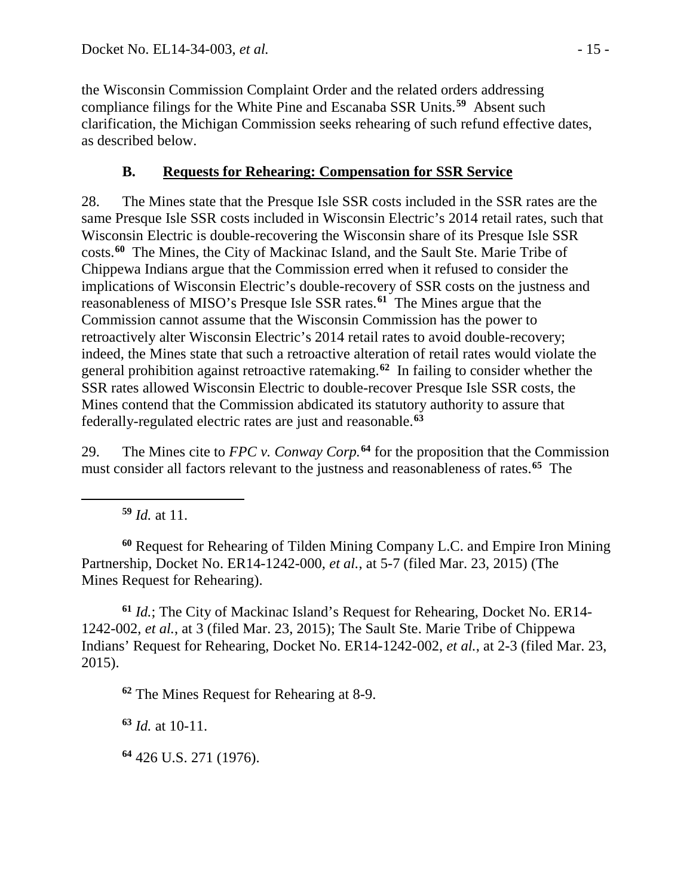the Wisconsin Commission Complaint Order and the related orders addressing compliance filings for the White Pine and Escanaba SSR Units. **[59](#page-14-0)** Absent such clarification, the Michigan Commission seeks rehearing of such refund effective dates, as described below.

## **B. Requests for Rehearing: Compensation for SSR Service**

28. The Mines state that the Presque Isle SSR costs included in the SSR rates are the same Presque Isle SSR costs included in Wisconsin Electric's 2014 retail rates, such that Wisconsin Electric is double-recovering the Wisconsin share of its Presque Isle SSR costs.**[60](#page-14-1)** The Mines, the City of Mackinac Island, and the Sault Ste. Marie Tribe of Chippewa Indians argue that the Commission erred when it refused to consider the implications of Wisconsin Electric's double-recovery of SSR costs on the justness and reasonableness of MISO's Presque Isle SSR rates.**[61](#page-14-2)** The Mines argue that the Commission cannot assume that the Wisconsin Commission has the power to retroactively alter Wisconsin Electric's 2014 retail rates to avoid double-recovery; indeed, the Mines state that such a retroactive alteration of retail rates would violate the general prohibition against retroactive ratemaking.**[62](#page-14-3)** In failing to consider whether the SSR rates allowed Wisconsin Electric to double-recover Presque Isle SSR costs, the Mines contend that the Commission abdicated its statutory authority to assure that federally-regulated electric rates are just and reasonable.**[63](#page-14-4)**

29. The Mines cite to *FPC v. Conway Corp.***[64](#page-14-5)** for the proposition that the Commission must consider all factors relevant to the justness and reasonableness of rates.**[65](#page-14-6)** The

**<sup>59</sup>** *Id.* at 11.

<span id="page-14-6"></span><span id="page-14-0"></span> $\overline{a}$ 

<span id="page-14-1"></span>**<sup>60</sup>** Request for Rehearing of Tilden Mining Company L.C. and Empire Iron Mining Partnership, Docket No. ER14-1242-000, *et al.*, at 5-7 (filed Mar. 23, 2015) (The Mines Request for Rehearing).

<span id="page-14-3"></span><span id="page-14-2"></span>**<sup>61</sup>** *Id.*; The City of Mackinac Island's Request for Rehearing, Docket No. ER14- 1242-002, *et al.*, at 3 (filed Mar. 23, 2015); The Sault Ste. Marie Tribe of Chippewa Indians' Request for Rehearing, Docket No. ER14-1242-002, *et al.*, at 2-3 (filed Mar. 23, 2015).

**<sup>62</sup>** The Mines Request for Rehearing at 8-9.

<span id="page-14-4"></span>**<sup>63</sup>** *Id.* at 10-11.

<span id="page-14-5"></span>**<sup>64</sup>** 426 U.S. 271 (1976).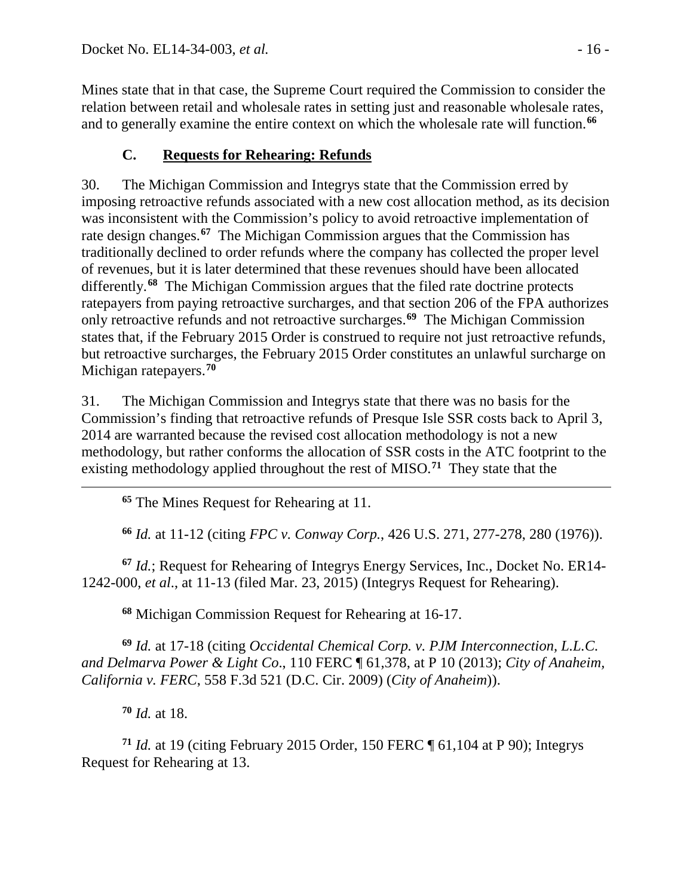Mines state that in that case, the Supreme Court required the Commission to consider the relation between retail and wholesale rates in setting just and reasonable wholesale rates, and to generally examine the entire context on which the wholesale rate will function.**[66](#page-15-0)**

# **C. Requests for Rehearing: Refunds**

30. The Michigan Commission and Integrys state that the Commission erred by imposing retroactive refunds associated with a new cost allocation method, as its decision was inconsistent with the Commission's policy to avoid retroactive implementation of rate design changes.**[67](#page-15-1)** The Michigan Commission argues that the Commission has traditionally declined to order refunds where the company has collected the proper level of revenues, but it is later determined that these revenues should have been allocated differently.**[68](#page-15-2)** The Michigan Commission argues that the filed rate doctrine protects ratepayers from paying retroactive surcharges, and that section 206 of the FPA authorizes only retroactive refunds and not retroactive surcharges.**[69](#page-15-3)** The Michigan Commission states that, if the February 2015 Order is construed to require not just retroactive refunds, but retroactive surcharges, the February 2015 Order constitutes an unlawful surcharge on Michigan ratepayers.**[70](#page-15-4)**

31. The Michigan Commission and Integrys state that there was no basis for the Commission's finding that retroactive refunds of Presque Isle SSR costs back to April 3, 2014 are warranted because the revised cost allocation methodology is not a new methodology, but rather conforms the allocation of SSR costs in the ATC footprint to the existing methodology applied throughout the rest of MISO.**[71](#page-15-5)** They state that the

**<sup>65</sup>** The Mines Request for Rehearing at 11.

**<sup>66</sup>** *Id.* at 11-12 (citing *FPC v. Conway Corp.*, 426 U.S. 271, 277-278, 280 (1976)).

<span id="page-15-1"></span><span id="page-15-0"></span>**<sup>67</sup>** *Id.*; Request for Rehearing of Integrys Energy Services, Inc., Docket No. ER14- 1242-000, *et al*., at 11-13 (filed Mar. 23, 2015) (Integrys Request for Rehearing).

**<sup>68</sup>** Michigan Commission Request for Rehearing at 16-17.

<span id="page-15-3"></span><span id="page-15-2"></span>**<sup>69</sup>** *Id.* at 17-18 (citing *Occidental Chemical Corp. v. PJM Interconnection, L.L.C. and Delmarva Power & Light Co*., 110 FERC ¶ 61,378, at P 10 (2013); *City of Anaheim, California v. FERC*, 558 F.3d 521 (D.C. Cir. 2009) (*City of Anaheim*)).

**<sup>70</sup>** *Id.* at 18.

 $\overline{a}$ 

<span id="page-15-5"></span><span id="page-15-4"></span>**<sup>71</sup>** *Id.* at 19 (citing February 2015 Order, 150 FERC ¶ 61,104 at P 90); Integrys Request for Rehearing at 13.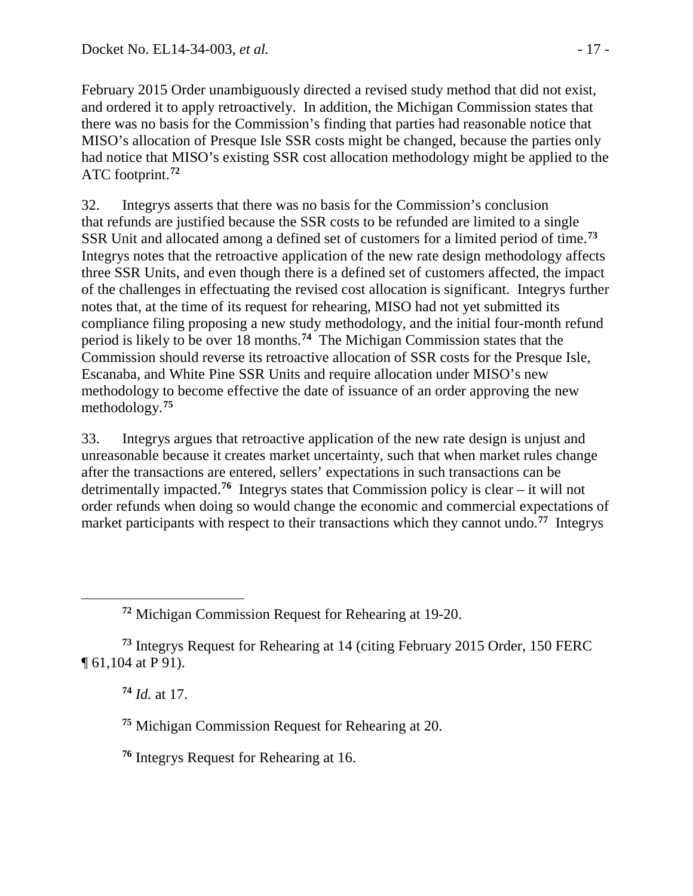February 2015 Order unambiguously directed a revised study method that did not exist, and ordered it to apply retroactively. In addition, the Michigan Commission states that there was no basis for the Commission's finding that parties had reasonable notice that MISO's allocation of Presque Isle SSR costs might be changed, because the parties only had notice that MISO's existing SSR cost allocation methodology might be applied to the ATC footprint.**[72](#page-16-0)**

32. Integrys asserts that there was no basis for the Commission's conclusion that refunds are justified because the SSR costs to be refunded are limited to a single SSR Unit and allocated among a defined set of customers for a limited period of time. **[73](#page-16-1)** Integrys notes that the retroactive application of the new rate design methodology affects three SSR Units, and even though there is a defined set of customers affected, the impact of the challenges in effectuating the revised cost allocation is significant. Integrys further notes that, at the time of its request for rehearing, MISO had not yet submitted its compliance filing proposing a new study methodology, and the initial four-month refund period is likely to be over 18 months.**[74](#page-16-2)** The Michigan Commission states that the Commission should reverse its retroactive allocation of SSR costs for the Presque Isle, Escanaba, and White Pine SSR Units and require allocation under MISO's new methodology to become effective the date of issuance of an order approving the new methodology.**[75](#page-16-3)**

33. Integrys argues that retroactive application of the new rate design is unjust and unreasonable because it creates market uncertainty, such that when market rules change after the transactions are entered, sellers' expectations in such transactions can be detrimentally impacted.**[76](#page-16-4)** Integrys states that Commission policy is clear – it will not order refunds when doing so would change the economic and commercial expectations of market participants with respect to their transactions which they cannot undo.<sup>[77](#page-16-5)</sup> Integrys

**<sup>74</sup>** *Id.* at 17.

<span id="page-16-0"></span> $\overline{a}$ 

**<sup>75</sup>** Michigan Commission Request for Rehearing at 20.

<span id="page-16-4"></span>**<sup>76</sup>** Integrys Request for Rehearing at 16.

**<sup>72</sup>** Michigan Commission Request for Rehearing at 19-20.

<span id="page-16-5"></span><span id="page-16-3"></span><span id="page-16-2"></span><span id="page-16-1"></span>**<sup>73</sup>** Integrys Request for Rehearing at 14 (citing February 2015 Order, 150 FERC ¶ 61,104 at P 91).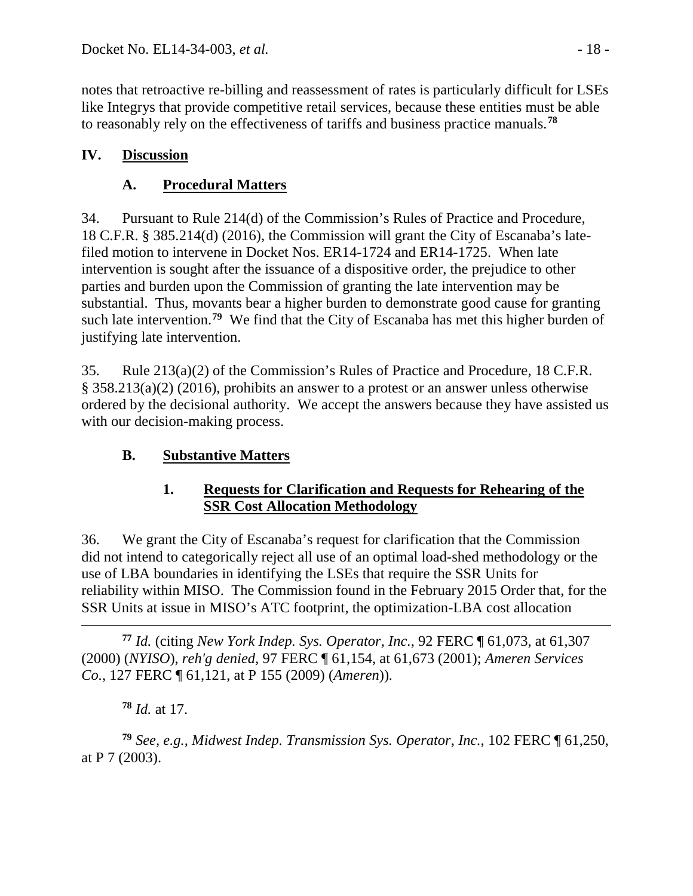notes that retroactive re-billing and reassessment of rates is particularly difficult for LSEs like Integrys that provide competitive retail services, because these entities must be able to reasonably rely on the effectiveness of tariffs and business practice manuals. **[78](#page-17-0)**

## **IV. Discussion**

# **A. Procedural Matters**

34. Pursuant to Rule 214(d) of the Commission's Rules of Practice and Procedure, 18 C.F.R. § 385.214(d) (2016), the Commission will grant the City of Escanaba's latefiled motion to intervene in Docket Nos. ER14-1724 and ER14-1725. When late intervention is sought after the issuance of a dispositive order, the prejudice to other parties and burden upon the Commission of granting the late intervention may be substantial. Thus, movants bear a higher burden to demonstrate good cause for granting such late intervention.**[79](#page-17-1)** We find that the City of Escanaba has met this higher burden of justifying late intervention.

35. Rule 213(a)(2) of the Commission's Rules of Practice and Procedure, 18 C.F.R. § 358.213(a)(2) (2016), prohibits an answer to a protest or an answer unless otherwise ordered by the decisional authority. We accept the answers because they have assisted us with our decision-making process.

## **B. Substantive Matters**

## **1. Requests for Clarification and Requests for Rehearing of the SSR Cost Allocation Methodology**

36. We grant the City of Escanaba's request for clarification that the Commission did not intend to categorically reject all use of an optimal load-shed methodology or the use of LBA boundaries in identifying the LSEs that require the SSR Units for reliability within MISO. The Commission found in the February 2015 Order that, for the SSR Units at issue in MISO's ATC footprint, the optimization-LBA cost allocation

 $\overline{a}$ **<sup>77</sup>** *Id.* (citing *New York Indep. Sys. Operator, Inc.*, 92 FERC ¶ 61,073, at 61,307 (2000) (*NYISO*), *reh'g denied,* 97 FERC ¶ 61,154, at 61,673 (2001); *Ameren Services Co.*, 127 FERC ¶ 61,121, at P 155 (2009) (*Ameren*))*.*

**<sup>78</sup>** *Id.* at 17.

<span id="page-17-1"></span><span id="page-17-0"></span>**<sup>79</sup>** *See, e.g., Midwest Indep. Transmission Sys. Operator, Inc.*, 102 FERC ¶ 61,250, at P 7 (2003).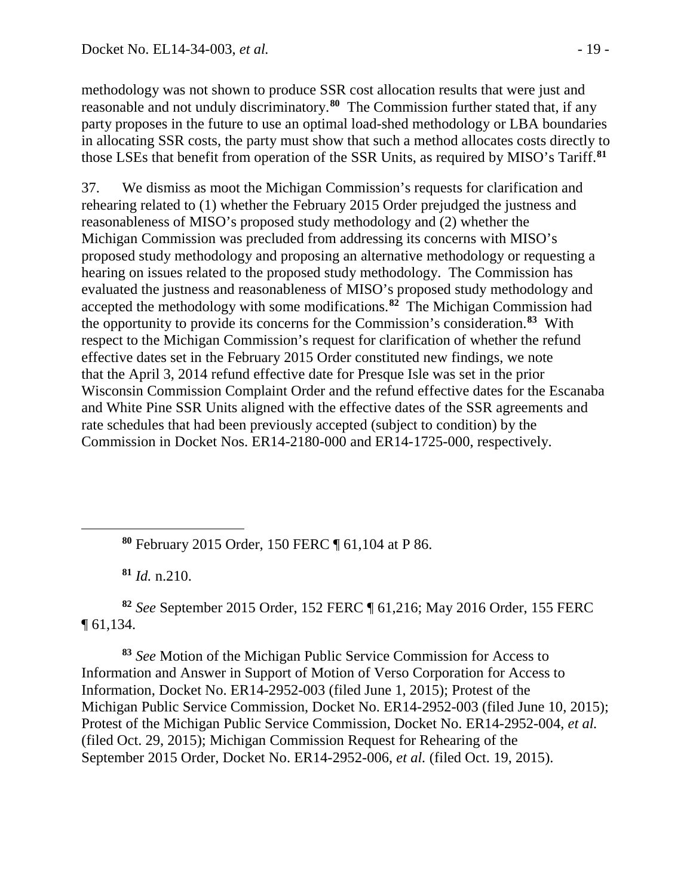methodology was not shown to produce SSR cost allocation results that were just and reasonable and not unduly discriminatory.**[80](#page-18-0)** The Commission further stated that, if any party proposes in the future to use an optimal load-shed methodology or LBA boundaries in allocating SSR costs, the party must show that such a method allocates costs directly to those LSEs that benefit from operation of the SSR Units, as required by MISO's Tariff.**[81](#page-18-1)**

37. We dismiss as moot the Michigan Commission's requests for clarification and rehearing related to (1) whether the February 2015 Order prejudged the justness and reasonableness of MISO's proposed study methodology and (2) whether the Michigan Commission was precluded from addressing its concerns with MISO's proposed study methodology and proposing an alternative methodology or requesting a hearing on issues related to the proposed study methodology. The Commission has evaluated the justness and reasonableness of MISO's proposed study methodology and accepted the methodology with some modifications.**[82](#page-18-2)** The Michigan Commission had the opportunity to provide its concerns for the Commission's consideration.**[83](#page-18-3)** With respect to the Michigan Commission's request for clarification of whether the refund effective dates set in the February 2015 Order constituted new findings, we note that the April 3, 2014 refund effective date for Presque Isle was set in the prior Wisconsin Commission Complaint Order and the refund effective dates for the Escanaba and White Pine SSR Units aligned with the effective dates of the SSR agreements and rate schedules that had been previously accepted (subject to condition) by the Commission in Docket Nos. ER14-2180-000 and ER14-1725-000, respectively.

**<sup>80</sup>** February 2015 Order, 150 FERC ¶ 61,104 at P 86.

**<sup>81</sup>** *Id.* n.210.

<span id="page-18-0"></span> $\overline{a}$ 

<span id="page-18-2"></span><span id="page-18-1"></span>**<sup>82</sup>** *See* September 2015 Order, 152 FERC ¶ 61,216; May 2016 Order, 155 FERC ¶ 61,134.

<span id="page-18-3"></span>**<sup>83</sup>** *See* Motion of the Michigan Public Service Commission for Access to Information and Answer in Support of Motion of Verso Corporation for Access to Information, Docket No. ER14-2952-003 (filed June 1, 2015); Protest of the Michigan Public Service Commission, Docket No. ER14-2952-003 (filed June 10, 2015); Protest of the Michigan Public Service Commission, Docket No. ER14-2952-004, *et al.* (filed Oct. 29, 2015); Michigan Commission Request for Rehearing of the September 2015 Order, Docket No. ER14-2952-006, *et al.* (filed Oct. 19, 2015).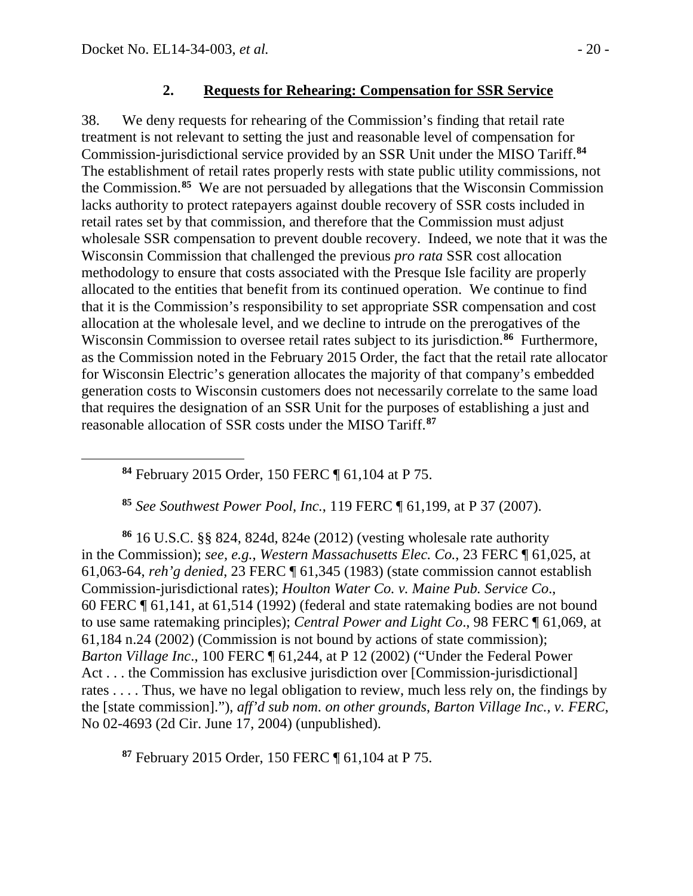<span id="page-19-0"></span> $\overline{a}$ 

#### **2. Requests for Rehearing: Compensation for SSR Service**

38. We deny requests for rehearing of the Commission's finding that retail rate treatment is not relevant to setting the just and reasonable level of compensation for Commission-jurisdictional service provided by an SSR Unit under the MISO Tariff.**[84](#page-19-0)** The establishment of retail rates properly rests with state public utility commissions, not the Commission. **[85](#page-19-1)** We are not persuaded by allegations that the Wisconsin Commission lacks authority to protect ratepayers against double recovery of SSR costs included in retail rates set by that commission, and therefore that the Commission must adjust wholesale SSR compensation to prevent double recovery. Indeed, we note that it was the Wisconsin Commission that challenged the previous *pro rata* SSR cost allocation methodology to ensure that costs associated with the Presque Isle facility are properly allocated to the entities that benefit from its continued operation. We continue to find that it is the Commission's responsibility to set appropriate SSR compensation and cost allocation at the wholesale level, and we decline to intrude on the prerogatives of the Wisconsin Commission to oversee retail rates subject to its jurisdiction.**[86](#page-19-2)** Furthermore, as the Commission noted in the February 2015 Order, the fact that the retail rate allocator for Wisconsin Electric's generation allocates the majority of that company's embedded generation costs to Wisconsin customers does not necessarily correlate to the same load that requires the designation of an SSR Unit for the purposes of establishing a just and reasonable allocation of SSR costs under the MISO Tariff.**[87](#page-19-3)**

**<sup>84</sup>** February 2015 Order, 150 FERC ¶ 61,104 at P 75.

**<sup>85</sup>** *See Southwest Power Pool, Inc.*, 119 FERC ¶ 61,199, at P 37 (2007).

<span id="page-19-2"></span><span id="page-19-1"></span>**<sup>86</sup>** 16 U.S.C. §§ 824, 824d, 824e (2012) (vesting wholesale rate authority in the Commission); *see, e.g.*, *Western Massachusetts Elec. Co.*, 23 FERC ¶ 61,025, at 61,063-64, *reh'g denied*, 23 FERC ¶ 61,345 (1983) (state commission cannot establish Commission-jurisdictional rates); *Houlton Water Co. v. Maine Pub. Service Co*., 60 FERC ¶ 61,141, at 61,514 (1992) (federal and state ratemaking bodies are not bound to use same ratemaking principles); *Central Power and Light Co*., 98 FERC ¶ 61,069, at 61,184 n.24 (2002) (Commission is not bound by actions of state commission); *Barton Village Inc*., 100 FERC ¶ 61,244, at P 12 (2002) ("Under the Federal Power Act . . . the Commission has exclusive jurisdiction over [Commission-jurisdictional] rates . . . . Thus, we have no legal obligation to review, much less rely on, the findings by the [state commission]."), *aff'd sub nom*. *on other grounds*, *Barton Village Inc., v. FERC*, No 02-4693 (2d Cir. June 17, 2004) (unpublished).

<span id="page-19-3"></span>**<sup>87</sup>** February 2015 Order, 150 FERC ¶ 61,104 at P 75.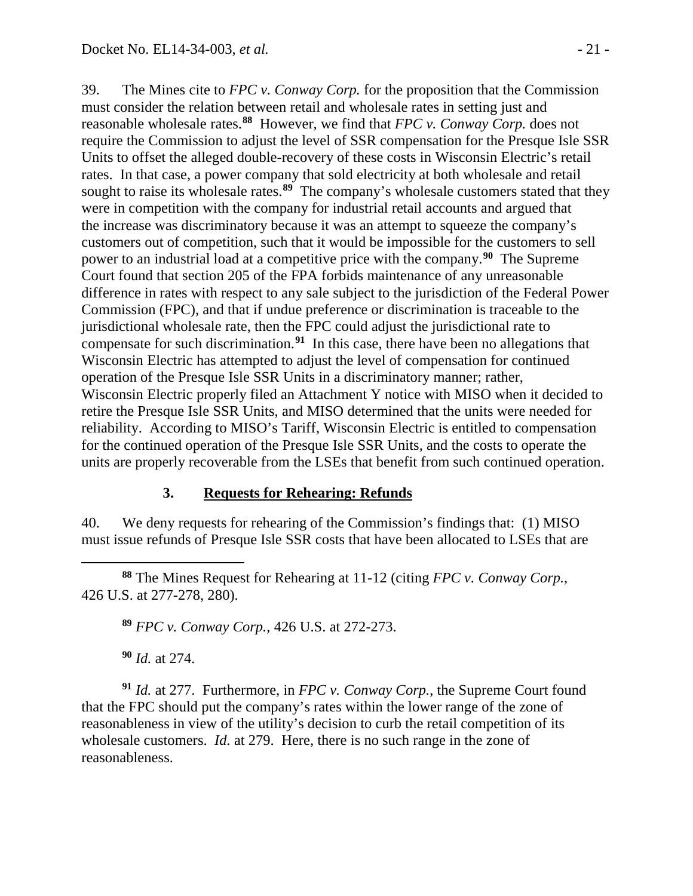39. The Mines cite to *FPC v. Conway Corp.* for the proposition that the Commission must consider the relation between retail and wholesale rates in setting just and reasonable wholesale rates.**[88](#page-20-0)** However, we find that *FPC v. Conway Corp.* does not require the Commission to adjust the level of SSR compensation for the Presque Isle SSR Units to offset the alleged double-recovery of these costs in Wisconsin Electric's retail rates. In that case, a power company that sold electricity at both wholesale and retail sought to raise its wholesale rates.<sup>[89](#page-20-1)</sup> The company's wholesale customers stated that they were in competition with the company for industrial retail accounts and argued that the increase was discriminatory because it was an attempt to squeeze the company's customers out of competition, such that it would be impossible for the customers to sell power to an industrial load at a competitive price with the company. **[90](#page-20-2)** The Supreme Court found that section 205 of the FPA forbids maintenance of any unreasonable difference in rates with respect to any sale subject to the jurisdiction of the Federal Power Commission (FPC), and that if undue preference or discrimination is traceable to the jurisdictional wholesale rate, then the FPC could adjust the jurisdictional rate to compensate for such discrimination.**[91](#page-20-3)** In this case, there have been no allegations that Wisconsin Electric has attempted to adjust the level of compensation for continued operation of the Presque Isle SSR Units in a discriminatory manner; rather, Wisconsin Electric properly filed an Attachment Y notice with MISO when it decided to retire the Presque Isle SSR Units, and MISO determined that the units were needed for reliability. According to MISO's Tariff, Wisconsin Electric is entitled to compensation for the continued operation of the Presque Isle SSR Units, and the costs to operate the units are properly recoverable from the LSEs that benefit from such continued operation.

#### **3. Requests for Rehearing: Refunds**

40. We deny requests for rehearing of the Commission's findings that: (1) MISO must issue refunds of Presque Isle SSR costs that have been allocated to LSEs that are

<span id="page-20-1"></span><span id="page-20-0"></span> $\overline{a}$ **<sup>88</sup>** The Mines Request for Rehearing at 11-12 (citing *FPC v. Conway Corp.*, 426 U.S. at 277-278, 280).

**<sup>89</sup>** *FPC v. Conway Corp.*, 426 U.S. at 272-273.

**<sup>90</sup>** *Id.* at 274.

<span id="page-20-3"></span><span id="page-20-2"></span>**<sup>91</sup>** *Id.* at 277. Furthermore, in *FPC v. Conway Corp.*, the Supreme Court found that the FPC should put the company's rates within the lower range of the zone of reasonableness in view of the utility's decision to curb the retail competition of its wholesale customers. *Id.* at 279. Here, there is no such range in the zone of reasonableness.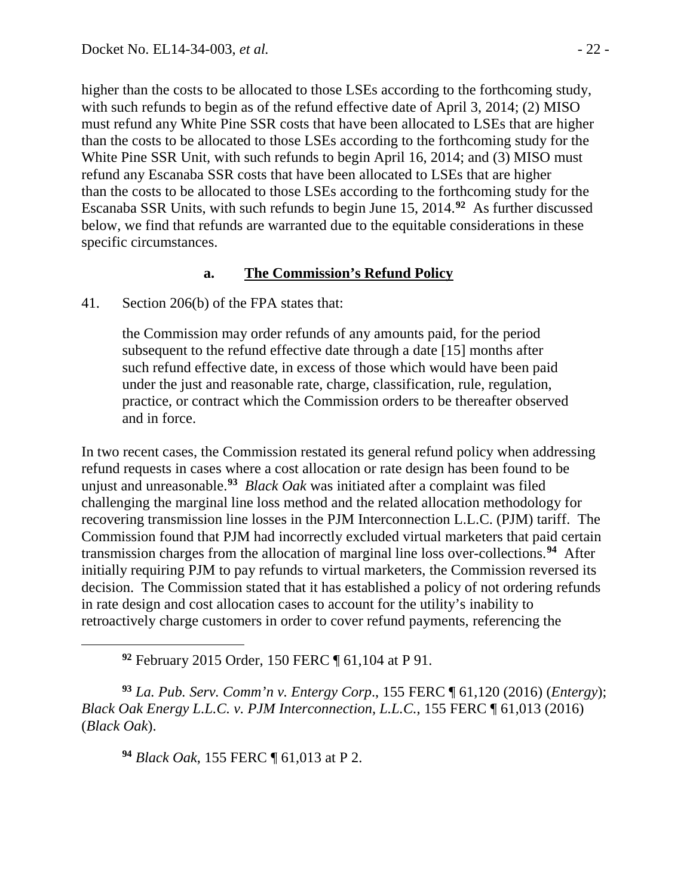higher than the costs to be allocated to those LSEs according to the forthcoming study, with such refunds to begin as of the refund effective date of April 3, 2014; (2) MISO must refund any White Pine SSR costs that have been allocated to LSEs that are higher than the costs to be allocated to those LSEs according to the forthcoming study for the White Pine SSR Unit, with such refunds to begin April 16, 2014; and (3) MISO must refund any Escanaba SSR costs that have been allocated to LSEs that are higher than the costs to be allocated to those LSEs according to the forthcoming study for the Escanaba SSR Units, with such refunds to begin June 15, 2014.**[92](#page-21-0)** As further discussed below, we find that refunds are warranted due to the equitable considerations in these specific circumstances.

#### **a. The Commission's Refund Policy**

41. Section 206(b) of the FPA states that:

the Commission may order refunds of any amounts paid, for the period subsequent to the refund effective date through a date [15] months after such refund effective date, in excess of those which would have been paid under the just and reasonable rate, charge, classification, rule, regulation, practice, or contract which the Commission orders to be thereafter observed and in force.

In two recent cases, the Commission restated its general refund policy when addressing refund requests in cases where a cost allocation or rate design has been found to be unjust and unreasonable.**[93](#page-21-1)** *Black Oak* was initiated after a complaint was filed challenging the marginal line loss method and the related allocation methodology for recovering transmission line losses in the PJM Interconnection L.L.C. (PJM) tariff. The Commission found that PJM had incorrectly excluded virtual marketers that paid certain transmission charges from the allocation of marginal line loss over-collections.**[94](#page-21-2)** After initially requiring PJM to pay refunds to virtual marketers, the Commission reversed its decision. The Commission stated that it has established a policy of not ordering refunds in rate design and cost allocation cases to account for the utility's inability to retroactively charge customers in order to cover refund payments, referencing the

**<sup>92</sup>** February 2015 Order, 150 FERC ¶ 61,104 at P 91.

<span id="page-21-2"></span><span id="page-21-1"></span>**<sup>93</sup>** *La. Pub. Serv. Comm'n v. Entergy Corp*., 155 FERC ¶ 61,120 (2016) (*Entergy*); *Black Oak Energy L.L.C. v. PJM Interconnection, L.L.C.*, 155 FERC ¶ 61,013 (2016) (*Black Oak*).

**<sup>94</sup>** *Black Oak*, 155 FERC ¶ 61,013 at P 2.

<span id="page-21-0"></span> $\overline{a}$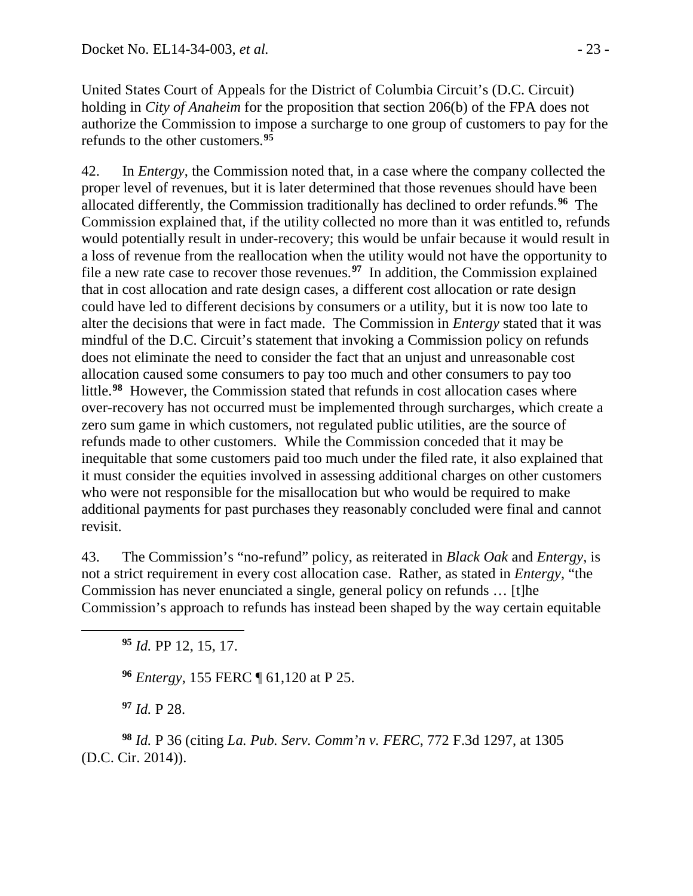United States Court of Appeals for the District of Columbia Circuit's (D.C. Circuit) holding in *City of Anaheim* for the proposition that section 206(b) of the FPA does not authorize the Commission to impose a surcharge to one group of customers to pay for the refunds to the other customers. **[95](#page-22-0)**

42. In *Entergy*, the Commission noted that, in a case where the company collected the proper level of revenues, but it is later determined that those revenues should have been allocated differently, the Commission traditionally has declined to order refunds.**[96](#page-22-1)** The Commission explained that, if the utility collected no more than it was entitled to, refunds would potentially result in under-recovery; this would be unfair because it would result in a loss of revenue from the reallocation when the utility would not have the opportunity to file a new rate case to recover those revenues.**[97](#page-22-2)** In addition, the Commission explained that in cost allocation and rate design cases, a different cost allocation or rate design could have led to different decisions by consumers or a utility, but it is now too late to alter the decisions that were in fact made. The Commission in *Entergy* stated that it was mindful of the D.C. Circuit's statement that invoking a Commission policy on refunds does not eliminate the need to consider the fact that an unjust and unreasonable cost allocation caused some consumers to pay too much and other consumers to pay too little.**[98](#page-22-3)** However, the Commission stated that refunds in cost allocation cases where over-recovery has not occurred must be implemented through surcharges, which create a zero sum game in which customers, not regulated public utilities, are the source of refunds made to other customers. While the Commission conceded that it may be inequitable that some customers paid too much under the filed rate, it also explained that it must consider the equities involved in assessing additional charges on other customers who were not responsible for the misallocation but who would be required to make additional payments for past purchases they reasonably concluded were final and cannot revisit.

43. The Commission's "no-refund" policy, as reiterated in *Black Oak* and *Entergy*, is not a strict requirement in every cost allocation case. Rather, as stated in *Entergy*, "the Commission has never enunciated a single, general policy on refunds … [t]he Commission's approach to refunds has instead been shaped by the way certain equitable

**<sup>96</sup>** *Entergy*, 155 FERC ¶ 61,120 at P 25.

**<sup>97</sup>** *Id.* P 28.

<span id="page-22-1"></span><span id="page-22-0"></span> $\overline{a}$ 

<span id="page-22-3"></span><span id="page-22-2"></span>**<sup>98</sup>** *Id.* P 36 (citing *La. Pub. Serv. Comm'n v. FERC*, 772 F.3d 1297, at 1305 (D.C. Cir. 2014)).

**<sup>95</sup>** *Id.* PP 12, 15, 17.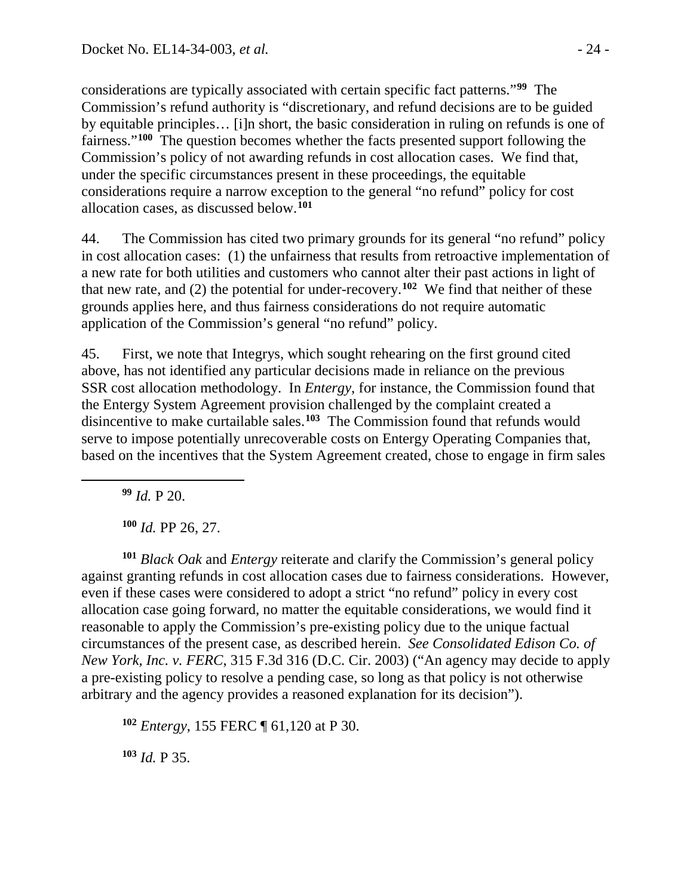considerations are typically associated with certain specific fact patterns."**[99](#page-23-0)** The Commission's refund authority is "discretionary, and refund decisions are to be guided by equitable principles… [i]n short, the basic consideration in ruling on refunds is one of fairness."**[100](#page-23-1)** The question becomes whether the facts presented support following the Commission's policy of not awarding refunds in cost allocation cases. We find that, under the specific circumstances present in these proceedings, the equitable considerations require a narrow exception to the general "no refund" policy for cost allocation cases, as discussed below.**[101](#page-23-2)**

44. The Commission has cited two primary grounds for its general "no refund" policy in cost allocation cases: (1) the unfairness that results from retroactive implementation of a new rate for both utilities and customers who cannot alter their past actions in light of that new rate, and (2) the potential for under-recovery. **[102](#page-23-3)** We find that neither of these grounds applies here, and thus fairness considerations do not require automatic application of the Commission's general "no refund" policy.

45. First, we note that Integrys, which sought rehearing on the first ground cited above, has not identified any particular decisions made in reliance on the previous SSR cost allocation methodology. In *Entergy*, for instance, the Commission found that the Entergy System Agreement provision challenged by the complaint created a disincentive to make curtailable sales.**[103](#page-23-4)** The Commission found that refunds would serve to impose potentially unrecoverable costs on Entergy Operating Companies that, based on the incentives that the System Agreement created, chose to engage in firm sales

**<sup>99</sup>** *Id.* P 20.

<span id="page-23-0"></span> $\overline{a}$ 

**<sup>100</sup>** *Id.* PP 26, 27.

<span id="page-23-2"></span><span id="page-23-1"></span>**<sup>101</sup>** *Black Oak* and *Entergy* reiterate and clarify the Commission's general policy against granting refunds in cost allocation cases due to fairness considerations. However, even if these cases were considered to adopt a strict "no refund" policy in every cost allocation case going forward, no matter the equitable considerations, we would find it reasonable to apply the Commission's pre-existing policy due to the unique factual circumstances of the present case, as described herein. *See Consolidated Edison Co. of New York, Inc. v. FERC*, 315 F.3d 316 (D.C. Cir. 2003) ("An agency may decide to apply a pre-existing policy to resolve a pending case, so long as that policy is not otherwise arbitrary and the agency provides a reasoned explanation for its decision").

<span id="page-23-3"></span>**<sup>102</sup>** *Entergy*, 155 FERC ¶ 61,120 at P 30.

<span id="page-23-4"></span>**<sup>103</sup>** *Id.* P 35.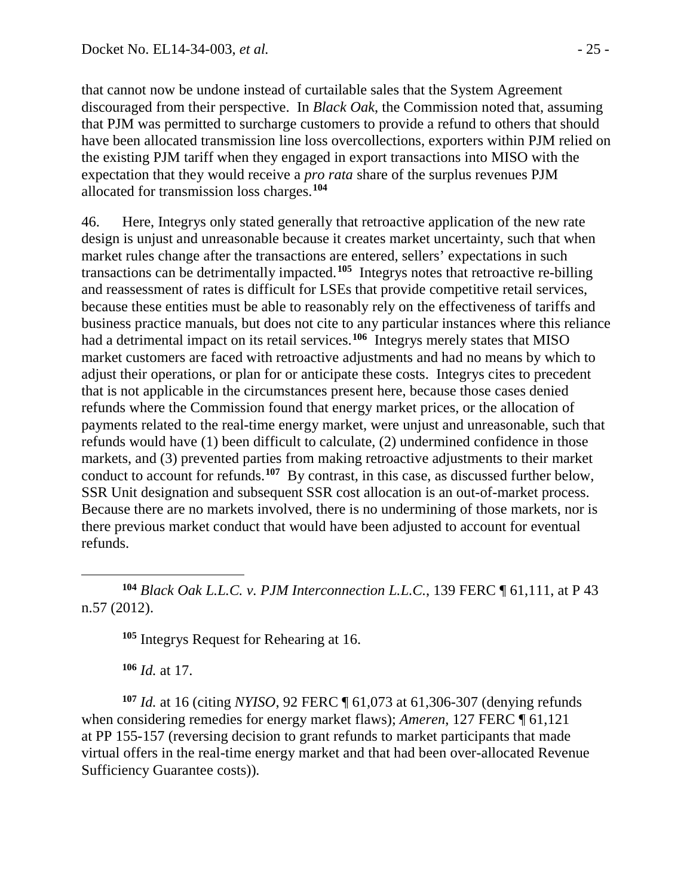that cannot now be undone instead of curtailable sales that the System Agreement discouraged from their perspective. In *Black Oak*, the Commission noted that, assuming that PJM was permitted to surcharge customers to provide a refund to others that should have been allocated transmission line loss overcollections, exporters within PJM relied on the existing PJM tariff when they engaged in export transactions into MISO with the expectation that they would receive a *pro rata* share of the surplus revenues PJM allocated for transmission loss charges.**[104](#page-24-0)**

46. Here, Integrys only stated generally that retroactive application of the new rate design is unjust and unreasonable because it creates market uncertainty, such that when market rules change after the transactions are entered, sellers' expectations in such transactions can be detrimentally impacted.**[105](#page-24-1)** Integrys notes that retroactive re-billing and reassessment of rates is difficult for LSEs that provide competitive retail services, because these entities must be able to reasonably rely on the effectiveness of tariffs and business practice manuals, but does not cite to any particular instances where this reliance had a detrimental impact on its retail services.**[106](#page-24-2)** Integrys merely states that MISO market customers are faced with retroactive adjustments and had no means by which to adjust their operations, or plan for or anticipate these costs. Integrys cites to precedent that is not applicable in the circumstances present here, because those cases denied refunds where the Commission found that energy market prices, or the allocation of payments related to the real-time energy market, were unjust and unreasonable, such that refunds would have (1) been difficult to calculate, (2) undermined confidence in those markets, and (3) prevented parties from making retroactive adjustments to their market conduct to account for refunds.**[107](#page-24-3)** By contrast, in this case, as discussed further below, SSR Unit designation and subsequent SSR cost allocation is an out-of-market process. Because there are no markets involved, there is no undermining of those markets, nor is there previous market conduct that would have been adjusted to account for eventual refunds.

<span id="page-24-1"></span><span id="page-24-0"></span> $\overline{a}$ **<sup>104</sup>** *Black Oak L.L.C. v. PJM Interconnection L.L.C.*, 139 FERC ¶ 61,111, at P 43 n.57 (2012).

**<sup>105</sup>** Integrys Request for Rehearing at 16.

**<sup>106</sup>** *Id.* at 17.

<span id="page-24-3"></span><span id="page-24-2"></span>**<sup>107</sup>** *Id.* at 16 (citing *NYISO*, 92 FERC ¶ 61,073 at 61,306-307 (denying refunds when considering remedies for energy market flaws); *Ameren*, 127 FERC ¶ 61,121 at PP 155-157 (reversing decision to grant refunds to market participants that made virtual offers in the real-time energy market and that had been over-allocated Revenue Sufficiency Guarantee costs))*.*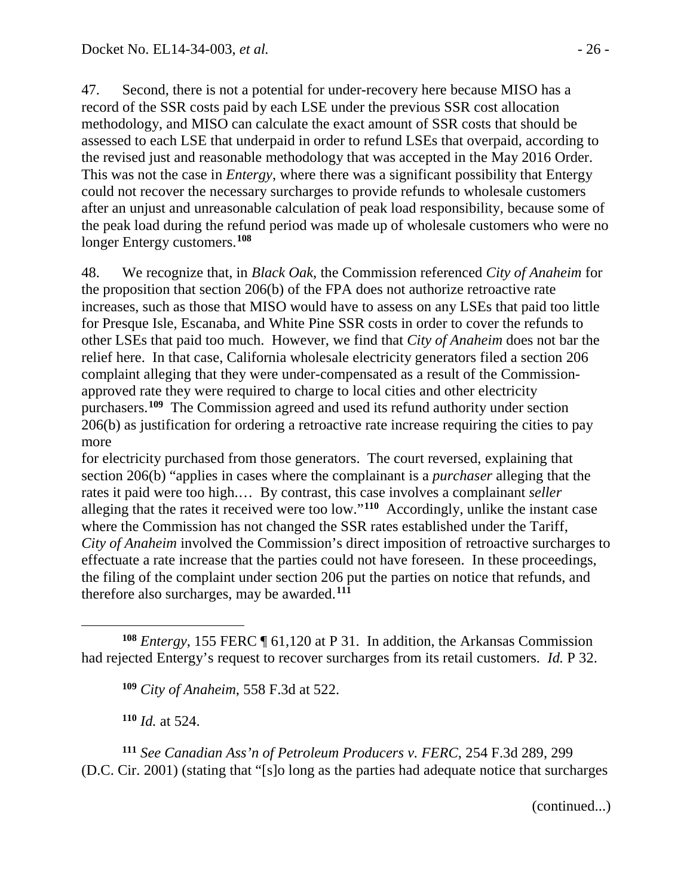47. Second, there is not a potential for under-recovery here because MISO has a record of the SSR costs paid by each LSE under the previous SSR cost allocation methodology, and MISO can calculate the exact amount of SSR costs that should be assessed to each LSE that underpaid in order to refund LSEs that overpaid, according to the revised just and reasonable methodology that was accepted in the May 2016 Order. This was not the case in *Entergy*, where there was a significant possibility that Entergy could not recover the necessary surcharges to provide refunds to wholesale customers after an unjust and unreasonable calculation of peak load responsibility, because some of the peak load during the refund period was made up of wholesale customers who were no longer Entergy customers.**[108](#page-25-0)**

48. We recognize that, in *Black Oak*, the Commission referenced *City of Anaheim* for the proposition that section 206(b) of the FPA does not authorize retroactive rate increases, such as those that MISO would have to assess on any LSEs that paid too little for Presque Isle, Escanaba, and White Pine SSR costs in order to cover the refunds to other LSEs that paid too much. However, we find that *City of Anaheim* does not bar the relief here. In that case, California wholesale electricity generators filed a section 206 complaint alleging that they were under-compensated as a result of the Commissionapproved rate they were required to charge to local cities and other electricity purchasers.**[109](#page-25-1)** The Commission agreed and used its refund authority under section 206(b) as justification for ordering a retroactive rate increase requiring the cities to pay more

for electricity purchased from those generators. The court reversed, explaining that section 206(b) "applies in cases where the complainant is a *purchaser* alleging that the rates it paid were too high.… By contrast, this case involves a complainant *seller*  alleging that the rates it received were too low."**[110](#page-25-2)** Accordingly, unlike the instant case where the Commission has not changed the SSR rates established under the Tariff, *City of Anaheim* involved the Commission's direct imposition of retroactive surcharges to effectuate a rate increase that the parties could not have foreseen. In these proceedings, the filing of the complaint under section 206 put the parties on notice that refunds, and therefore also surcharges, may be awarded.**[111](#page-25-3)**

<span id="page-25-1"></span><span id="page-25-0"></span> $\overline{a}$ **<sup>108</sup>** *Entergy*, 155 FERC ¶ 61,120 at P 31. In addition, the Arkansas Commission had rejected Entergy's request to recover surcharges from its retail customers. *Id.* P 32.

**<sup>109</sup>** *City of Anaheim*, 558 F.3d at 522.

**<sup>110</sup>** *Id.* at 524.

<span id="page-25-3"></span><span id="page-25-2"></span>**<sup>111</sup>** *See Canadian Ass'n of Petroleum Producers v. FERC*, 254 F.3d 289, 299 (D.C. Cir. 2001) (stating that "[s]o long as the parties had adequate notice that surcharges

(continued...)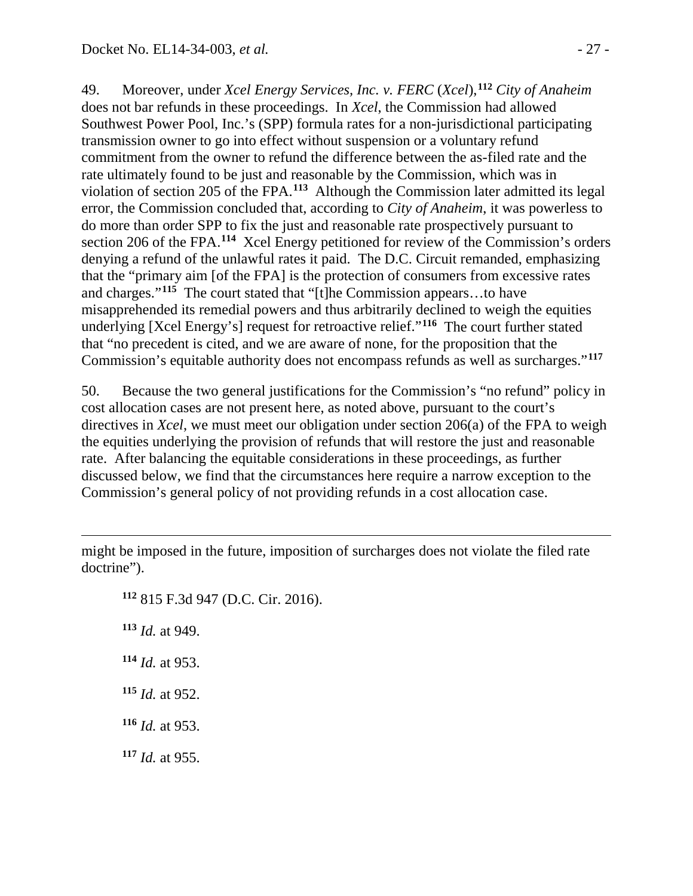49. Moreover, under *Xcel Energy Services, Inc. v. FERC* (*Xcel*), **[112](#page-26-0)** *City of Anaheim* does not bar refunds in these proceedings. In *Xcel*, the Commission had allowed Southwest Power Pool, Inc.'s (SPP) formula rates for a non-jurisdictional participating transmission owner to go into effect without suspension or a voluntary refund commitment from the owner to refund the difference between the as-filed rate and the rate ultimately found to be just and reasonable by the Commission, which was in violation of section 205 of the FPA.**[113](#page-26-1)** Although the Commission later admitted its legal error, the Commission concluded that, according to *City of Anaheim*, it was powerless to do more than order SPP to fix the just and reasonable rate prospectively pursuant to section 206 of the FPA.**[114](#page-26-2)** Xcel Energy petitioned for review of the Commission's orders denying a refund of the unlawful rates it paid. The D.C. Circuit remanded, emphasizing that the "primary aim [of the FPA] is the protection of consumers from excessive rates and charges."**[115](#page-26-3)** The court stated that "[t]he Commission appears…to have misapprehended its remedial powers and thus arbitrarily declined to weigh the equities underlying [Xcel Energy's] request for retroactive relief."**[116](#page-26-4)** The court further stated that "no precedent is cited, and we are aware of none, for the proposition that the Commission's equitable authority does not encompass refunds as well as surcharges."**[117](#page-26-5)**

50. Because the two general justifications for the Commission's "no refund" policy in cost allocation cases are not present here, as noted above, pursuant to the court's directives in *Xcel*, we must meet our obligation under section 206(a) of the FPA to weigh the equities underlying the provision of refunds that will restore the just and reasonable rate. After balancing the equitable considerations in these proceedings, as further discussed below, we find that the circumstances here require a narrow exception to the Commission's general policy of not providing refunds in a cost allocation case.

<span id="page-26-1"></span><span id="page-26-0"></span>might be imposed in the future, imposition of surcharges does not violate the filed rate doctrine").

<span id="page-26-5"></span><span id="page-26-4"></span><span id="page-26-3"></span><span id="page-26-2"></span> 815 F.3d 947 (D.C. Cir. 2016). *Id.* at 949. *Id.* at 953. *Id.* at 952. *Id.* at 953. *Id.* at 955.

 $\overline{a}$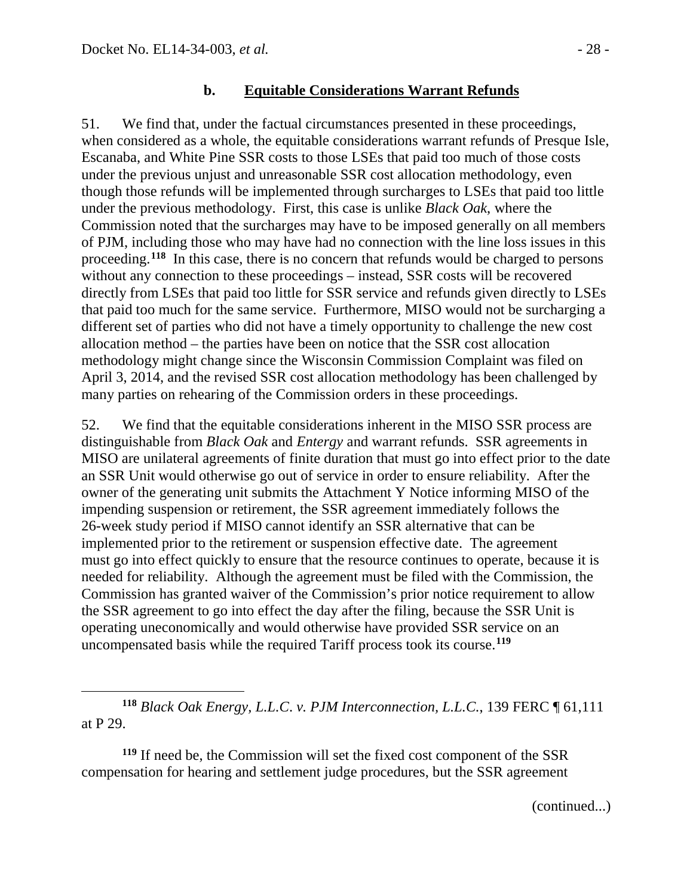$\overline{a}$ 

#### **b. Equitable Considerations Warrant Refunds**

51. We find that, under the factual circumstances presented in these proceedings, when considered as a whole, the equitable considerations warrant refunds of Presque Isle, Escanaba, and White Pine SSR costs to those LSEs that paid too much of those costs under the previous unjust and unreasonable SSR cost allocation methodology, even though those refunds will be implemented through surcharges to LSEs that paid too little under the previous methodology. First, this case is unlike *Black Oak*, where the Commission noted that the surcharges may have to be imposed generally on all members of PJM, including those who may have had no connection with the line loss issues in this proceeding.**[118](#page-27-0)** In this case, there is no concern that refunds would be charged to persons without any connection to these proceedings – instead, SSR costs will be recovered directly from LSEs that paid too little for SSR service and refunds given directly to LSEs that paid too much for the same service. Furthermore, MISO would not be surcharging a different set of parties who did not have a timely opportunity to challenge the new cost allocation method – the parties have been on notice that the SSR cost allocation methodology might change since the Wisconsin Commission Complaint was filed on April 3, 2014, and the revised SSR cost allocation methodology has been challenged by many parties on rehearing of the Commission orders in these proceedings.

52. We find that the equitable considerations inherent in the MISO SSR process are distinguishable from *Black Oak* and *Entergy* and warrant refunds. SSR agreements in MISO are unilateral agreements of finite duration that must go into effect prior to the date an SSR Unit would otherwise go out of service in order to ensure reliability. After the owner of the generating unit submits the Attachment Y Notice informing MISO of the impending suspension or retirement, the SSR agreement immediately follows the 26-week study period if MISO cannot identify an SSR alternative that can be implemented prior to the retirement or suspension effective date. The agreement must go into effect quickly to ensure that the resource continues to operate, because it is needed for reliability. Although the agreement must be filed with the Commission, the Commission has granted waiver of the Commission's prior notice requirement to allow the SSR agreement to go into effect the day after the filing, because the SSR Unit is operating uneconomically and would otherwise have provided SSR service on an uncompensated basis while the required Tariff process took its course. **[119](#page-27-1)**

<span id="page-27-1"></span>**<sup>119</sup>** If need be, the Commission will set the fixed cost component of the SSR compensation for hearing and settlement judge procedures, but the SSR agreement

(continued...)

<span id="page-27-0"></span>**<sup>118</sup>** *Black Oak Energy, L.L.C*. *v. PJM Interconnection, L.L.C.*, 139 FERC ¶ 61,111 at P 29.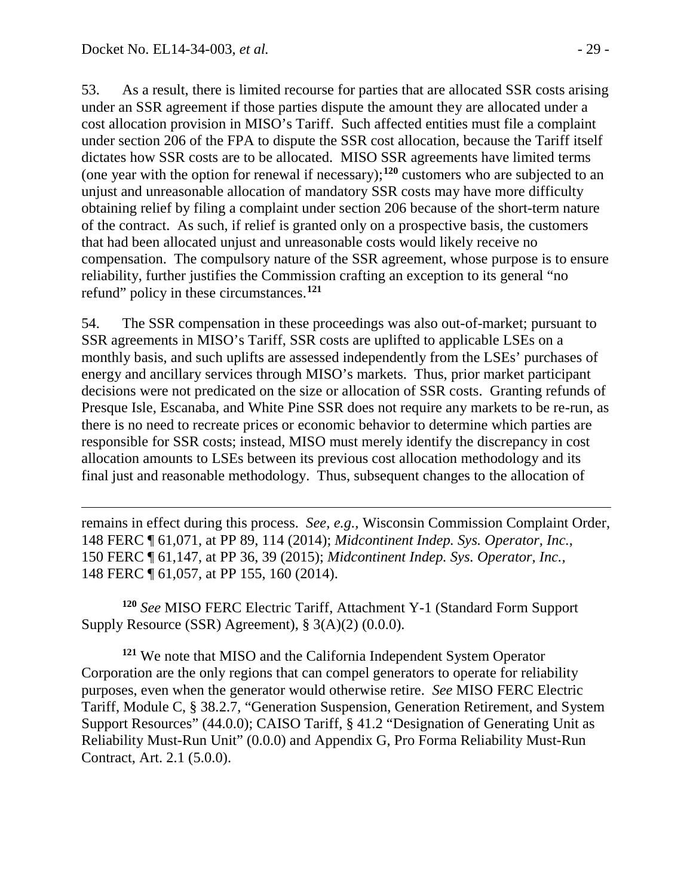$\overline{a}$ 

53. As a result, there is limited recourse for parties that are allocated SSR costs arising under an SSR agreement if those parties dispute the amount they are allocated under a cost allocation provision in MISO's Tariff. Such affected entities must file a complaint under section 206 of the FPA to dispute the SSR cost allocation, because the Tariff itself dictates how SSR costs are to be allocated. MISO SSR agreements have limited terms (one year with the option for renewal if necessary); **[120](#page-28-0)** customers who are subjected to an unjust and unreasonable allocation of mandatory SSR costs may have more difficulty obtaining relief by filing a complaint under section 206 because of the short-term nature of the contract. As such, if relief is granted only on a prospective basis, the customers that had been allocated unjust and unreasonable costs would likely receive no compensation. The compulsory nature of the SSR agreement, whose purpose is to ensure reliability, further justifies the Commission crafting an exception to its general "no refund" policy in these circumstances. **[121](#page-28-1)**

54. The SSR compensation in these proceedings was also out-of-market; pursuant to SSR agreements in MISO's Tariff, SSR costs are uplifted to applicable LSEs on a monthly basis, and such uplifts are assessed independently from the LSEs' purchases of energy and ancillary services through MISO's markets. Thus, prior market participant decisions were not predicated on the size or allocation of SSR costs. Granting refunds of Presque Isle, Escanaba, and White Pine SSR does not require any markets to be re-run, as there is no need to recreate prices or economic behavior to determine which parties are responsible for SSR costs; instead, MISO must merely identify the discrepancy in cost allocation amounts to LSEs between its previous cost allocation methodology and its final just and reasonable methodology. Thus, subsequent changes to the allocation of

remains in effect during this process. *See, e.g.,* Wisconsin Commission Complaint Order, 148 FERC ¶ 61,071, at PP 89, 114 (2014); *Midcontinent Indep. Sys. Operator, Inc.*, 150 FERC ¶ 61,147, at PP 36, 39 (2015); *Midcontinent Indep. Sys. Operator, Inc.,*  148 FERC ¶ 61,057, at PP 155, 160 (2014).

<span id="page-28-0"></span>**<sup>120</sup>** *See* MISO FERC Electric Tariff, Attachment Y-1 (Standard Form Support Supply Resource (SSR) Agreement), § 3(A)(2) (0.0.0).

<span id="page-28-1"></span>**<sup>121</sup>** We note that MISO and the California Independent System Operator Corporation are the only regions that can compel generators to operate for reliability purposes, even when the generator would otherwise retire. *See* MISO FERC Electric Tariff, Module C, § 38.2.7, "Generation Suspension, Generation Retirement, and System Support Resources" (44.0.0); CAISO Tariff, § 41.2 "Designation of Generating Unit as Reliability Must-Run Unit" (0.0.0) and Appendix G, Pro Forma Reliability Must-Run Contract, Art. 2.1 (5.0.0).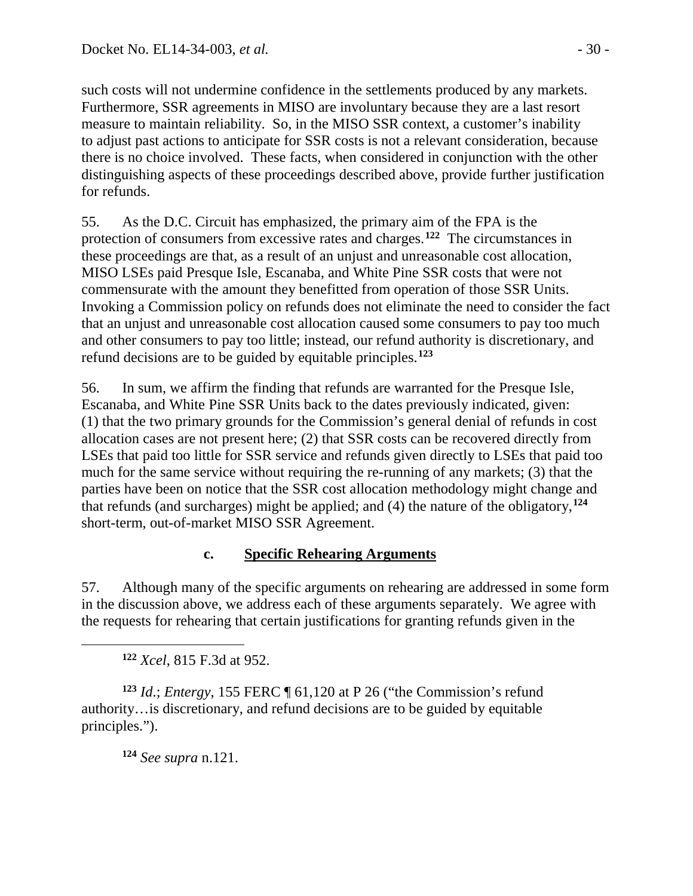such costs will not undermine confidence in the settlements produced by any markets. Furthermore, SSR agreements in MISO are involuntary because they are a last resort measure to maintain reliability. So, in the MISO SSR context, a customer's inability to adjust past actions to anticipate for SSR costs is not a relevant consideration, because there is no choice involved. These facts, when considered in conjunction with the other distinguishing aspects of these proceedings described above, provide further justification for refunds.

55. As the D.C. Circuit has emphasized, the primary aim of the FPA is the protection of consumers from excessive rates and charges. **[122](#page-29-0)** The circumstances in these proceedings are that, as a result of an unjust and unreasonable cost allocation, MISO LSEs paid Presque Isle, Escanaba, and White Pine SSR costs that were not commensurate with the amount they benefitted from operation of those SSR Units. Invoking a Commission policy on refunds does not eliminate the need to consider the fact that an unjust and unreasonable cost allocation caused some consumers to pay too much and other consumers to pay too little; instead, our refund authority is discretionary, and refund decisions are to be guided by equitable principles.**[123](#page-29-1)**

56. In sum, we affirm the finding that refunds are warranted for the Presque Isle, Escanaba, and White Pine SSR Units back to the dates previously indicated, given: (1) that the two primary grounds for the Commission's general denial of refunds in cost allocation cases are not present here; (2) that SSR costs can be recovered directly from LSEs that paid too little for SSR service and refunds given directly to LSEs that paid too much for the same service without requiring the re-running of any markets; (3) that the parties have been on notice that the SSR cost allocation methodology might change and that refunds (and surcharges) might be applied; and (4) the nature of the obligatory, **[124](#page-29-2)** short-term, out-of-market MISO SSR Agreement.

### **c. Specific Rehearing Arguments**

57. Although many of the specific arguments on rehearing are addressed in some form in the discussion above, we address each of these arguments separately. We agree with the requests for rehearing that certain justifications for granting refunds given in the

**<sup>122</sup>** *Xcel*, 815 F.3d at 952.

<span id="page-29-0"></span> $\overline{a}$ 

<span id="page-29-2"></span><span id="page-29-1"></span>**<sup>123</sup>** *Id*.; *Entergy*, 155 FERC ¶ 61,120 at P 26 ("the Commission's refund authority…is discretionary, and refund decisions are to be guided by equitable principles.").

**<sup>124</sup>** *See supra* n.121.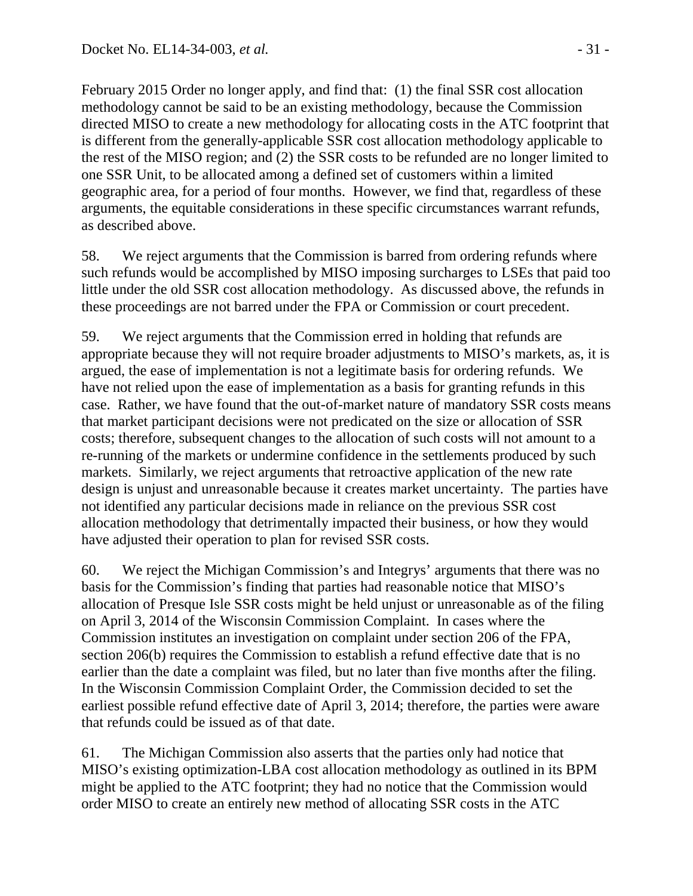February 2015 Order no longer apply, and find that: (1) the final SSR cost allocation methodology cannot be said to be an existing methodology, because the Commission directed MISO to create a new methodology for allocating costs in the ATC footprint that is different from the generally-applicable SSR cost allocation methodology applicable to the rest of the MISO region; and (2) the SSR costs to be refunded are no longer limited to one SSR Unit, to be allocated among a defined set of customers within a limited geographic area, for a period of four months. However, we find that, regardless of these arguments, the equitable considerations in these specific circumstances warrant refunds, as described above.

58. We reject arguments that the Commission is barred from ordering refunds where such refunds would be accomplished by MISO imposing surcharges to LSEs that paid too little under the old SSR cost allocation methodology. As discussed above, the refunds in these proceedings are not barred under the FPA or Commission or court precedent.

59. We reject arguments that the Commission erred in holding that refunds are appropriate because they will not require broader adjustments to MISO's markets, as, it is argued, the ease of implementation is not a legitimate basis for ordering refunds. We have not relied upon the ease of implementation as a basis for granting refunds in this case. Rather, we have found that the out-of-market nature of mandatory SSR costs means that market participant decisions were not predicated on the size or allocation of SSR costs; therefore, subsequent changes to the allocation of such costs will not amount to a re-running of the markets or undermine confidence in the settlements produced by such markets. Similarly, we reject arguments that retroactive application of the new rate design is unjust and unreasonable because it creates market uncertainty. The parties have not identified any particular decisions made in reliance on the previous SSR cost allocation methodology that detrimentally impacted their business, or how they would have adjusted their operation to plan for revised SSR costs.

60. We reject the Michigan Commission's and Integrys' arguments that there was no basis for the Commission's finding that parties had reasonable notice that MISO's allocation of Presque Isle SSR costs might be held unjust or unreasonable as of the filing on April 3, 2014 of the Wisconsin Commission Complaint. In cases where the Commission institutes an investigation on complaint under section 206 of the FPA, section 206(b) requires the Commission to establish a refund effective date that is no earlier than the date a complaint was filed, but no later than five months after the filing. In the Wisconsin Commission Complaint Order, the Commission decided to set the earliest possible refund effective date of April 3, 2014; therefore, the parties were aware that refunds could be issued as of that date.

61. The Michigan Commission also asserts that the parties only had notice that MISO's existing optimization-LBA cost allocation methodology as outlined in its BPM might be applied to the ATC footprint; they had no notice that the Commission would order MISO to create an entirely new method of allocating SSR costs in the ATC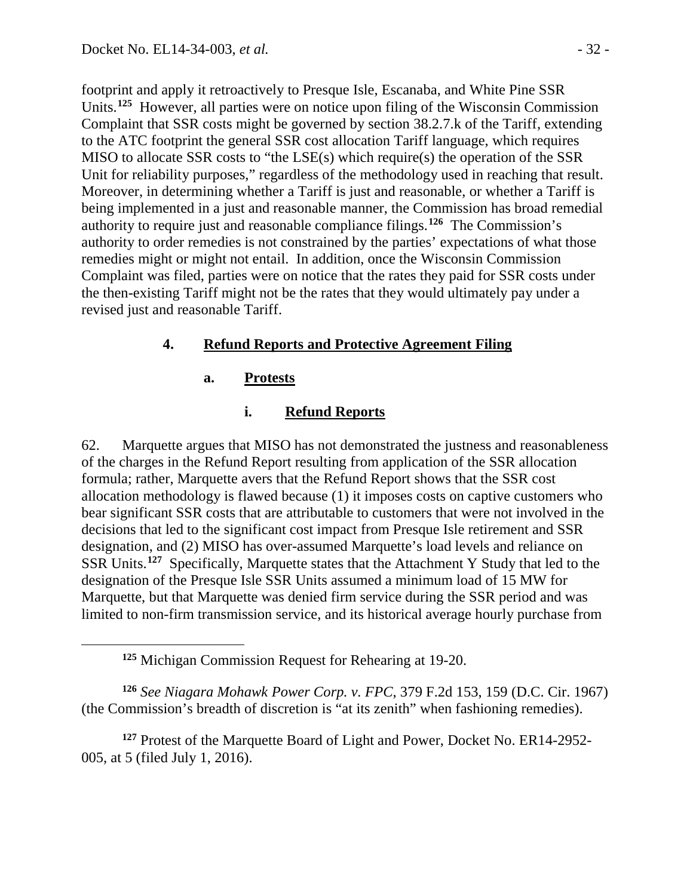<span id="page-31-0"></span> $\overline{a}$ 

footprint and apply it retroactively to Presque Isle, Escanaba, and White Pine SSR Units.**[125](#page-31-0)** However, all parties were on notice upon filing of the Wisconsin Commission Complaint that SSR costs might be governed by section 38.2.7.k of the Tariff, extending to the ATC footprint the general SSR cost allocation Tariff language, which requires MISO to allocate SSR costs to "the LSE(s) which require(s) the operation of the SSR Unit for reliability purposes," regardless of the methodology used in reaching that result. Moreover, in determining whether a Tariff is just and reasonable, or whether a Tariff is being implemented in a just and reasonable manner, the Commission has broad remedial authority to require just and reasonable compliance filings.**[126](#page-31-1)** The Commission's authority to order remedies is not constrained by the parties' expectations of what those remedies might or might not entail. In addition, once the Wisconsin Commission Complaint was filed, parties were on notice that the rates they paid for SSR costs under the then-existing Tariff might not be the rates that they would ultimately pay under a revised just and reasonable Tariff.

## **4. Refund Reports and Protective Agreement Filing**

### **a. Protests**

#### **i. Refund Reports**

62. Marquette argues that MISO has not demonstrated the justness and reasonableness of the charges in the Refund Report resulting from application of the SSR allocation formula; rather, Marquette avers that the Refund Report shows that the SSR cost allocation methodology is flawed because (1) it imposes costs on captive customers who bear significant SSR costs that are attributable to customers that were not involved in the decisions that led to the significant cost impact from Presque Isle retirement and SSR designation, and (2) MISO has over-assumed Marquette's load levels and reliance on SSR Units.**[127](#page-31-2)** Specifically, Marquette states that the Attachment Y Study that led to the designation of the Presque Isle SSR Units assumed a minimum load of 15 MW for Marquette, but that Marquette was denied firm service during the SSR period and was limited to non-firm transmission service, and its historical average hourly purchase from

<span id="page-31-1"></span>**<sup>126</sup>** *See Niagara Mohawk Power Corp. v. FPC*, 379 F.2d 153, 159 (D.C. Cir. 1967) (the Commission's breadth of discretion is "at its zenith" when fashioning remedies).

<span id="page-31-2"></span>**<sup>127</sup>** Protest of the Marquette Board of Light and Power, Docket No. ER14-2952- 005, at 5 (filed July 1, 2016).

**<sup>125</sup>** Michigan Commission Request for Rehearing at 19-20.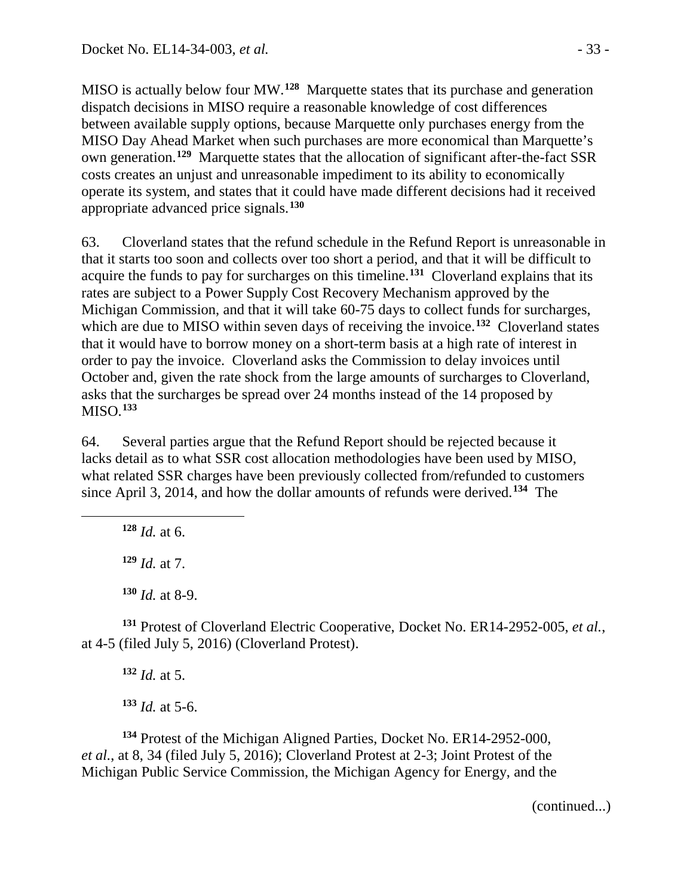MISO is actually below four MW.**[128](#page-32-0)** Marquette states that its purchase and generation dispatch decisions in MISO require a reasonable knowledge of cost differences between available supply options, because Marquette only purchases energy from the MISO Day Ahead Market when such purchases are more economical than Marquette's own generation.**[129](#page-32-1)** Marquette states that the allocation of significant after-the-fact SSR costs creates an unjust and unreasonable impediment to its ability to economically operate its system, and states that it could have made different decisions had it received appropriate advanced price signals.**[130](#page-32-2)**

63. Cloverland states that the refund schedule in the Refund Report is unreasonable in that it starts too soon and collects over too short a period, and that it will be difficult to acquire the funds to pay for surcharges on this timeline.**[131](#page-32-3)** Cloverland explains that its rates are subject to a Power Supply Cost Recovery Mechanism approved by the Michigan Commission, and that it will take 60-75 days to collect funds for surcharges, which are due to MISO within seven days of receiving the invoice.<sup>[132](#page-32-4)</sup> Cloverland states that it would have to borrow money on a short-term basis at a high rate of interest in order to pay the invoice. Cloverland asks the Commission to delay invoices until October and, given the rate shock from the large amounts of surcharges to Cloverland, asks that the surcharges be spread over 24 months instead of the 14 proposed by MISO.**[133](#page-32-5)**

64. Several parties argue that the Refund Report should be rejected because it lacks detail as to what SSR cost allocation methodologies have been used by MISO, what related SSR charges have been previously collected from/refunded to customers since April 3, 2014, and how the dollar amounts of refunds were derived. **[134](#page-32-6)** The

**<sup>128</sup>** *Id.* at 6.

<span id="page-32-1"></span><span id="page-32-0"></span> $\overline{a}$ 

**<sup>129</sup>** *Id.* at 7.

**<sup>130</sup>** *Id.* at 8-9.

<span id="page-32-4"></span><span id="page-32-3"></span><span id="page-32-2"></span>**<sup>131</sup>** Protest of Cloverland Electric Cooperative, Docket No. ER14-2952-005, *et al.*, at 4-5 (filed July 5, 2016) (Cloverland Protest).

**<sup>132</sup>** *Id.* at 5.

**<sup>133</sup>** *Id.* at 5-6.

<span id="page-32-6"></span><span id="page-32-5"></span>**<sup>134</sup>** Protest of the Michigan Aligned Parties, Docket No. ER14-2952-000, *et al.*, at 8, 34 (filed July 5, 2016); Cloverland Protest at 2-3; Joint Protest of the Michigan Public Service Commission, the Michigan Agency for Energy, and the

(continued...)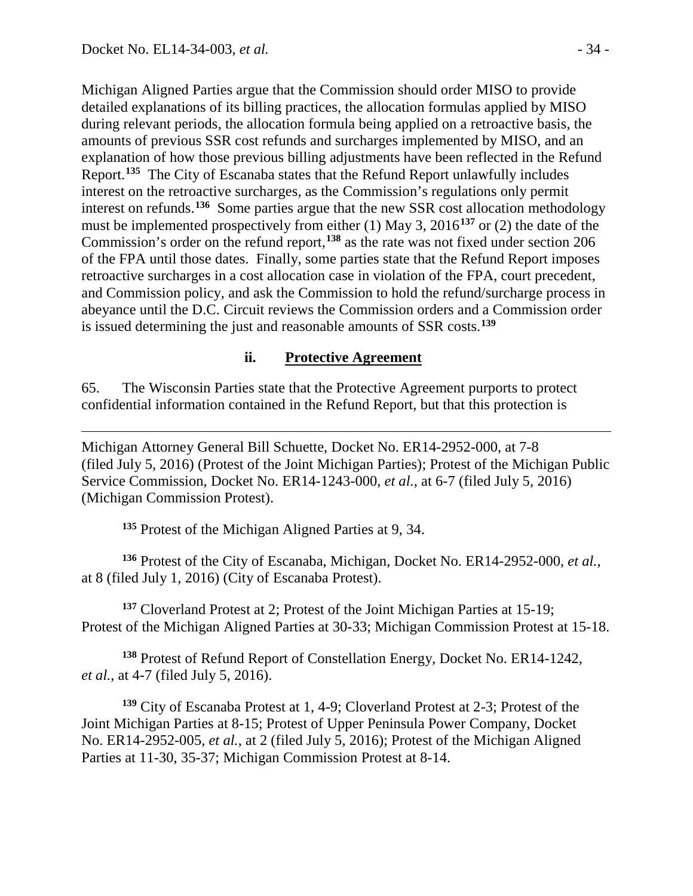Michigan Aligned Parties argue that the Commission should order MISO to provide detailed explanations of its billing practices, the allocation formulas applied by MISO during relevant periods, the allocation formula being applied on a retroactive basis, the amounts of previous SSR cost refunds and surcharges implemented by MISO, and an explanation of how those previous billing adjustments have been reflected in the Refund Report.**[135](#page-33-0)** The City of Escanaba states that the Refund Report unlawfully includes interest on the retroactive surcharges, as the Commission's regulations only permit interest on refunds.**[136](#page-33-1)** Some parties argue that the new SSR cost allocation methodology must be implemented prospectively from either (1) May 3, 2016**[137](#page-33-2)** or (2) the date of the Commission's order on the refund report, **[138](#page-33-3)** as the rate was not fixed under section 206 of the FPA until those dates. Finally, some parties state that the Refund Report imposes retroactive surcharges in a cost allocation case in violation of the FPA, court precedent, and Commission policy, and ask the Commission to hold the refund/surcharge process in abeyance until the D.C. Circuit reviews the Commission orders and a Commission order is issued determining the just and reasonable amounts of SSR costs.**[139](#page-33-4)**

#### **ii. Protective Agreement**

65. The Wisconsin Parties state that the Protective Agreement purports to protect confidential information contained in the Refund Report, but that this protection is

 $\overline{a}$ Michigan Attorney General Bill Schuette, Docket No. ER14-2952-000, at 7-8 (filed July 5, 2016) (Protest of the Joint Michigan Parties); Protest of the Michigan Public Service Commission, Docket No. ER14-1243-000, *et al.*, at 6-7 (filed July 5, 2016) (Michigan Commission Protest).

**<sup>135</sup>** Protest of the Michigan Aligned Parties at 9, 34.

<span id="page-33-1"></span><span id="page-33-0"></span>**<sup>136</sup>** Protest of the City of Escanaba, Michigan, Docket No. ER14-2952-000, *et al.*, at 8 (filed July 1, 2016) (City of Escanaba Protest).

<span id="page-33-2"></span>**<sup>137</sup>** Cloverland Protest at 2; Protest of the Joint Michigan Parties at 15-19; Protest of the Michigan Aligned Parties at 30-33; Michigan Commission Protest at 15-18.

<span id="page-33-3"></span>**<sup>138</sup>** Protest of Refund Report of Constellation Energy, Docket No. ER14-1242, *et al.*, at 4-7 (filed July 5, 2016).

<span id="page-33-4"></span>**<sup>139</sup>** City of Escanaba Protest at 1, 4-9; Cloverland Protest at 2-3; Protest of the Joint Michigan Parties at 8-15; Protest of Upper Peninsula Power Company, Docket No. ER14-2952-005, *et al.*, at 2 (filed July 5, 2016); Protest of the Michigan Aligned Parties at 11-30, 35-37; Michigan Commission Protest at 8-14.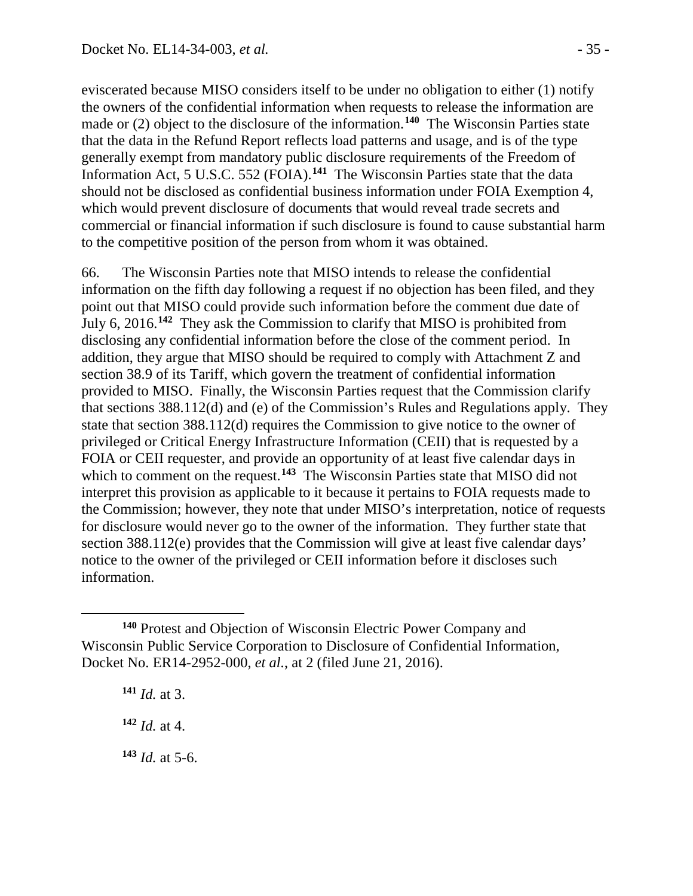eviscerated because MISO considers itself to be under no obligation to either (1) notify the owners of the confidential information when requests to release the information are made or (2) object to the disclosure of the information.**[140](#page-34-0)** The Wisconsin Parties state that the data in the Refund Report reflects load patterns and usage, and is of the type generally exempt from mandatory public disclosure requirements of the Freedom of Information Act, 5 U.S.C. 552 (FOIA).**[141](#page-34-1)** The Wisconsin Parties state that the data should not be disclosed as confidential business information under FOIA Exemption 4, which would prevent disclosure of documents that would reveal trade secrets and commercial or financial information if such disclosure is found to cause substantial harm to the competitive position of the person from whom it was obtained.

66. The Wisconsin Parties note that MISO intends to release the confidential information on the fifth day following a request if no objection has been filed, and they point out that MISO could provide such information before the comment due date of July 6, 2016.**[142](#page-34-2)** They ask the Commission to clarify that MISO is prohibited from disclosing any confidential information before the close of the comment period. In addition, they argue that MISO should be required to comply with Attachment Z and section 38.9 of its Tariff, which govern the treatment of confidential information provided to MISO. Finally, the Wisconsin Parties request that the Commission clarify that sections 388.112(d) and (e) of the Commission's Rules and Regulations apply. They state that section 388.112(d) requires the Commission to give notice to the owner of privileged or Critical Energy Infrastructure Information (CEII) that is requested by a FOIA or CEII requester, and provide an opportunity of at least five calendar days in which to comment on the request.<sup>[143](#page-34-3)</sup> The Wisconsin Parties state that MISO did not interpret this provision as applicable to it because it pertains to FOIA requests made to the Commission; however, they note that under MISO's interpretation, notice of requests for disclosure would never go to the owner of the information. They further state that section 388.112(e) provides that the Commission will give at least five calendar days' notice to the owner of the privileged or CEII information before it discloses such information.

**<sup>141</sup>** *Id.* at 3.

<span id="page-34-2"></span>**<sup>142</sup>** *Id.* at 4.

<span id="page-34-3"></span>**<sup>143</sup>** *Id.* at 5-6.

<span id="page-34-1"></span><span id="page-34-0"></span> $\overline{a}$ **<sup>140</sup>** Protest and Objection of Wisconsin Electric Power Company and Wisconsin Public Service Corporation to Disclosure of Confidential Information, Docket No. ER14-2952-000, *et al.*, at 2 (filed June 21, 2016).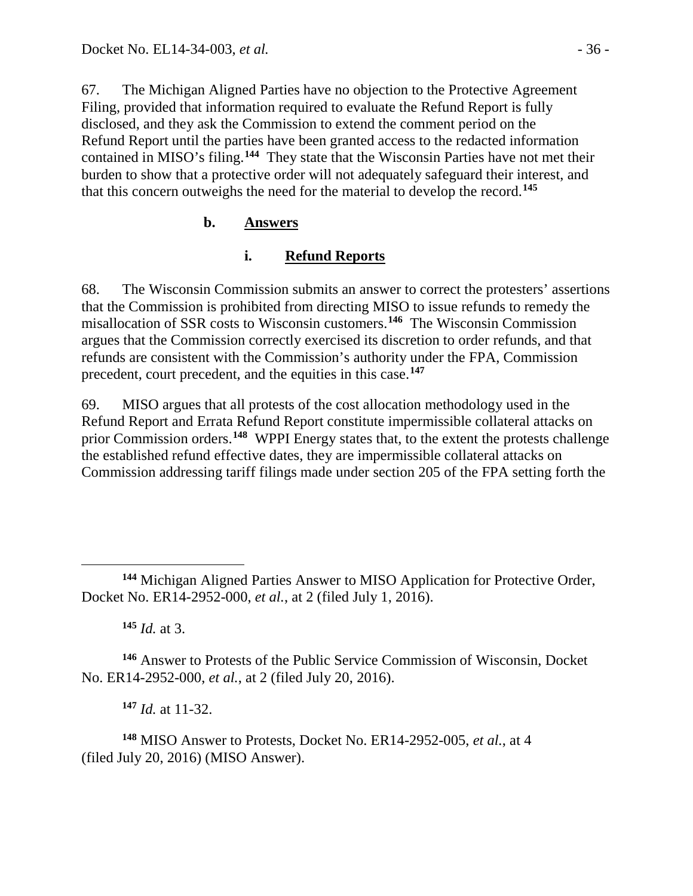67. The Michigan Aligned Parties have no objection to the Protective Agreement Filing, provided that information required to evaluate the Refund Report is fully disclosed, and they ask the Commission to extend the comment period on the Refund Report until the parties have been granted access to the redacted information contained in MISO's filing.**[144](#page-35-0)** They state that the Wisconsin Parties have not met their burden to show that a protective order will not adequately safeguard their interest, and that this concern outweighs the need for the material to develop the record.**[145](#page-35-1)**

## **b. Answers**

## **i. Refund Reports**

68. The Wisconsin Commission submits an answer to correct the protesters' assertions that the Commission is prohibited from directing MISO to issue refunds to remedy the misallocation of SSR costs to Wisconsin customers.**[146](#page-35-2)** The Wisconsin Commission argues that the Commission correctly exercised its discretion to order refunds, and that refunds are consistent with the Commission's authority under the FPA, Commission precedent, court precedent, and the equities in this case.**[147](#page-35-3)**

69. MISO argues that all protests of the cost allocation methodology used in the Refund Report and Errata Refund Report constitute impermissible collateral attacks on prior Commission orders.**[148](#page-35-4)** WPPI Energy states that, to the extent the protests challenge the established refund effective dates, they are impermissible collateral attacks on Commission addressing tariff filings made under section 205 of the FPA setting forth the

**<sup>145</sup>** *Id.* at 3.

<span id="page-35-2"></span><span id="page-35-1"></span>**<sup>146</sup>** Answer to Protests of the Public Service Commission of Wisconsin, Docket No. ER14-2952-000, *et al.*, at 2 (filed July 20, 2016).

**<sup>147</sup>** *Id.* at 11-32.

<span id="page-35-4"></span><span id="page-35-3"></span>**<sup>148</sup>** MISO Answer to Protests, Docket No. ER14-2952-005, *et al.*, at 4 (filed July 20, 2016) (MISO Answer).

<span id="page-35-0"></span> $\overline{a}$ **<sup>144</sup>** Michigan Aligned Parties Answer to MISO Application for Protective Order, Docket No. ER14-2952-000, *et al.*, at 2 (filed July 1, 2016).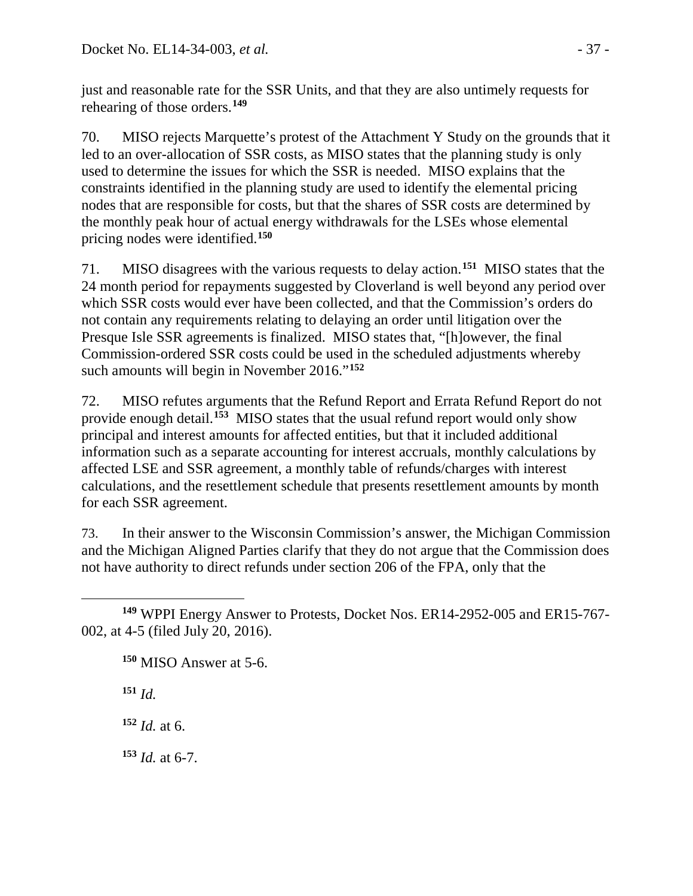just and reasonable rate for the SSR Units, and that they are also untimely requests for rehearing of those orders. **[149](#page-36-0)**

70. MISO rejects Marquette's protest of the Attachment Y Study on the grounds that it led to an over-allocation of SSR costs, as MISO states that the planning study is only used to determine the issues for which the SSR is needed. MISO explains that the constraints identified in the planning study are used to identify the elemental pricing nodes that are responsible for costs, but that the shares of SSR costs are determined by the monthly peak hour of actual energy withdrawals for the LSEs whose elemental pricing nodes were identified.**[150](#page-36-1)**

71. MISO disagrees with the various requests to delay action.**[151](#page-36-2)** MISO states that the 24 month period for repayments suggested by Cloverland is well beyond any period over which SSR costs would ever have been collected, and that the Commission's orders do not contain any requirements relating to delaying an order until litigation over the Presque Isle SSR agreements is finalized. MISO states that, "[h]owever, the final Commission-ordered SSR costs could be used in the scheduled adjustments whereby such amounts will begin in November 2016."**[152](#page-36-3)**

72. MISO refutes arguments that the Refund Report and Errata Refund Report do not provide enough detail.**[153](#page-36-4)** MISO states that the usual refund report would only show principal and interest amounts for affected entities, but that it included additional information such as a separate accounting for interest accruals, monthly calculations by affected LSE and SSR agreement, a monthly table of refunds/charges with interest calculations, and the resettlement schedule that presents resettlement amounts by month for each SSR agreement.

73. In their answer to the Wisconsin Commission's answer, the Michigan Commission and the Michigan Aligned Parties clarify that they do not argue that the Commission does not have authority to direct refunds under section 206 of the FPA, only that the

<span id="page-36-2"></span>**<sup>151</sup>** *Id.*

<span id="page-36-3"></span>**<sup>152</sup>** *Id.* at 6.

<span id="page-36-4"></span>**<sup>153</sup>** *Id.* at 6-7.

<span id="page-36-1"></span><span id="page-36-0"></span> $\overline{a}$ **<sup>149</sup>** WPPI Energy Answer to Protests, Docket Nos. ER14-2952-005 and ER15-767- 002, at 4-5 (filed July 20, 2016).

**<sup>150</sup>** MISO Answer at 5-6.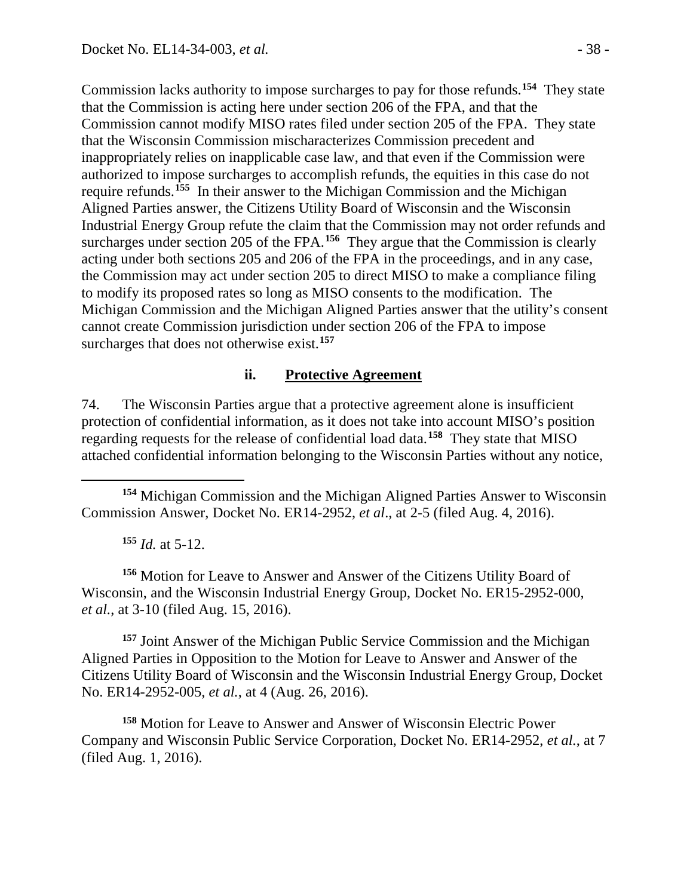Commission lacks authority to impose surcharges to pay for those refunds.**[154](#page-37-0)** They state that the Commission is acting here under section 206 of the FPA, and that the Commission cannot modify MISO rates filed under section 205 of the FPA. They state that the Wisconsin Commission mischaracterizes Commission precedent and inappropriately relies on inapplicable case law, and that even if the Commission were authorized to impose surcharges to accomplish refunds, the equities in this case do not require refunds.**[155](#page-37-1)** In their answer to the Michigan Commission and the Michigan Aligned Parties answer, the Citizens Utility Board of Wisconsin and the Wisconsin Industrial Energy Group refute the claim that the Commission may not order refunds and surcharges under section 205 of the FPA.<sup>[156](#page-37-2)</sup> They argue that the Commission is clearly acting under both sections 205 and 206 of the FPA in the proceedings, and in any case, the Commission may act under section 205 to direct MISO to make a compliance filing to modify its proposed rates so long as MISO consents to the modification. The Michigan Commission and the Michigan Aligned Parties answer that the utility's consent cannot create Commission jurisdiction under section 206 of the FPA to impose surcharges that does not otherwise exist.**[157](#page-37-3)**

#### **ii. Protective Agreement**

74. The Wisconsin Parties argue that a protective agreement alone is insufficient protection of confidential information, as it does not take into account MISO's position regarding requests for the release of confidential load data.**[158](#page-37-4)** They state that MISO attached confidential information belonging to the Wisconsin Parties without any notice,

<span id="page-37-0"></span>**<sup>154</sup>** Michigan Commission and the Michigan Aligned Parties Answer to Wisconsin Commission Answer, Docket No. ER14-2952, *et al*., at 2-5 (filed Aug. 4, 2016).

**<sup>155</sup>** *Id.* at 5-12.

 $\overline{a}$ 

<span id="page-37-2"></span><span id="page-37-1"></span>**<sup>156</sup>** Motion for Leave to Answer and Answer of the Citizens Utility Board of Wisconsin, and the Wisconsin Industrial Energy Group, Docket No. ER15-2952-000, *et al.*, at 3-10 (filed Aug. 15, 2016).

<span id="page-37-3"></span>**<sup>157</sup>** Joint Answer of the Michigan Public Service Commission and the Michigan Aligned Parties in Opposition to the Motion for Leave to Answer and Answer of the Citizens Utility Board of Wisconsin and the Wisconsin Industrial Energy Group, Docket No. ER14-2952-005, *et al.*, at 4 (Aug. 26, 2016).

<span id="page-37-4"></span>**<sup>158</sup>** Motion for Leave to Answer and Answer of Wisconsin Electric Power Company and Wisconsin Public Service Corporation, Docket No. ER14-2952, *et al.*, at 7 (filed Aug. 1, 2016).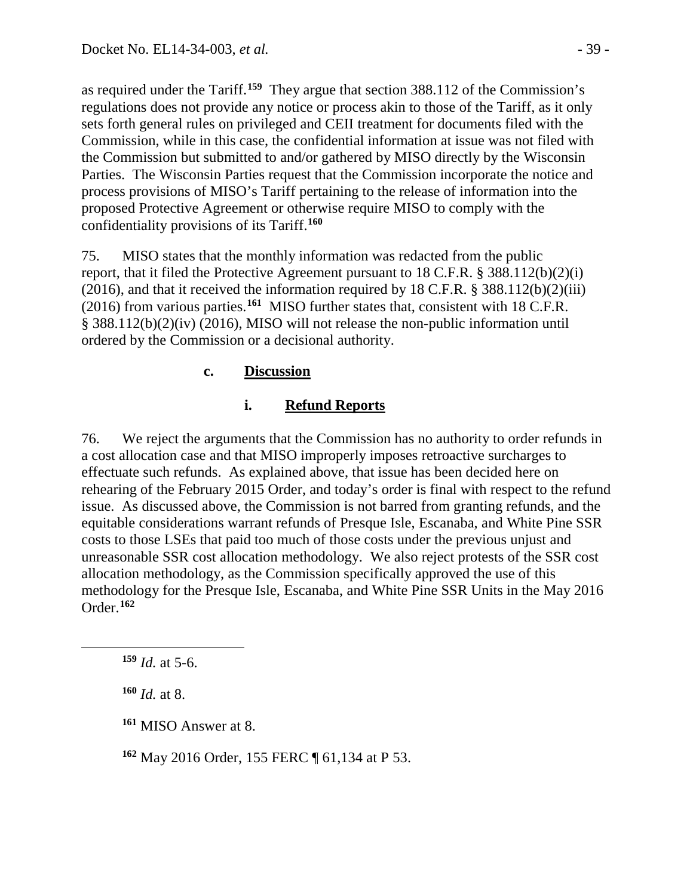as required under the Tariff.**[159](#page-38-0)** They argue that section 388.112 of the Commission's regulations does not provide any notice or process akin to those of the Tariff, as it only sets forth general rules on privileged and CEII treatment for documents filed with the Commission, while in this case, the confidential information at issue was not filed with the Commission but submitted to and/or gathered by MISO directly by the Wisconsin Parties. The Wisconsin Parties request that the Commission incorporate the notice and process provisions of MISO's Tariff pertaining to the release of information into the proposed Protective Agreement or otherwise require MISO to comply with the confidentiality provisions of its Tariff.**[160](#page-38-1)**

75. MISO states that the monthly information was redacted from the public report, that it filed the Protective Agreement pursuant to 18 C.F.R. § 388.112(b)(2)(i) (2016), and that it received the information required by 18 C.F.R.  $\S$  388.112(b)(2)(iii) (2016) from various parties.**[161](#page-38-2)** MISO further states that, consistent with 18 C.F.R. § 388.112(b)(2)(iv) (2016), MISO will not release the non-public information until ordered by the Commission or a decisional authority.

## **c. Discussion**

### **i. Refund Reports**

76. We reject the arguments that the Commission has no authority to order refunds in a cost allocation case and that MISO improperly imposes retroactive surcharges to effectuate such refunds. As explained above, that issue has been decided here on rehearing of the February 2015 Order, and today's order is final with respect to the refund issue. As discussed above, the Commission is not barred from granting refunds, and the equitable considerations warrant refunds of Presque Isle, Escanaba, and White Pine SSR costs to those LSEs that paid too much of those costs under the previous unjust and unreasonable SSR cost allocation methodology. We also reject protests of the SSR cost allocation methodology, as the Commission specifically approved the use of this methodology for the Presque Isle, Escanaba, and White Pine SSR Units in the May 2016 Order.**[162](#page-38-3)**

**<sup>160</sup>** *Id.* at 8.

<span id="page-38-2"></span><span id="page-38-1"></span><span id="page-38-0"></span> $\overline{a}$ 

<span id="page-38-3"></span>**<sup>162</sup>** May 2016 Order, 155 FERC ¶ 61,134 at P 53.

**<sup>159</sup>** *Id.* at 5-6.

**<sup>161</sup>** MISO Answer at 8.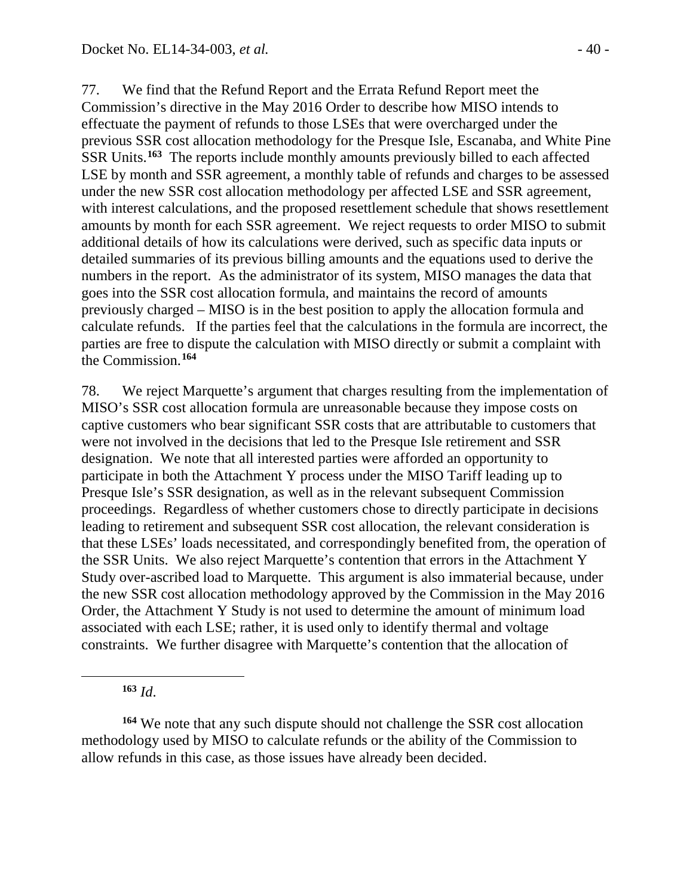77. We find that the Refund Report and the Errata Refund Report meet the Commission's directive in the May 2016 Order to describe how MISO intends to effectuate the payment of refunds to those LSEs that were overcharged under the previous SSR cost allocation methodology for the Presque Isle, Escanaba, and White Pine SSR Units.**[163](#page-39-0)** The reports include monthly amounts previously billed to each affected LSE by month and SSR agreement, a monthly table of refunds and charges to be assessed under the new SSR cost allocation methodology per affected LSE and SSR agreement, with interest calculations, and the proposed resettlement schedule that shows resettlement amounts by month for each SSR agreement. We reject requests to order MISO to submit additional details of how its calculations were derived, such as specific data inputs or detailed summaries of its previous billing amounts and the equations used to derive the numbers in the report. As the administrator of its system, MISO manages the data that goes into the SSR cost allocation formula, and maintains the record of amounts previously charged – MISO is in the best position to apply the allocation formula and calculate refunds. If the parties feel that the calculations in the formula are incorrect, the parties are free to dispute the calculation with MISO directly or submit a complaint with the Commission.**[164](#page-39-1)**

78. We reject Marquette's argument that charges resulting from the implementation of MISO's SSR cost allocation formula are unreasonable because they impose costs on captive customers who bear significant SSR costs that are attributable to customers that were not involved in the decisions that led to the Presque Isle retirement and SSR designation. We note that all interested parties were afforded an opportunity to participate in both the Attachment Y process under the MISO Tariff leading up to Presque Isle's SSR designation, as well as in the relevant subsequent Commission proceedings. Regardless of whether customers chose to directly participate in decisions leading to retirement and subsequent SSR cost allocation, the relevant consideration is that these LSEs' loads necessitated, and correspondingly benefited from, the operation of the SSR Units. We also reject Marquette's contention that errors in the Attachment Y Study over-ascribed load to Marquette. This argument is also immaterial because, under the new SSR cost allocation methodology approved by the Commission in the May 2016 Order, the Attachment Y Study is not used to determine the amount of minimum load associated with each LSE; rather, it is used only to identify thermal and voltage constraints. We further disagree with Marquette's contention that the allocation of

**<sup>163</sup>** *Id*.

<span id="page-39-0"></span> $\overline{a}$ 

<span id="page-39-1"></span>**<sup>164</sup>** We note that any such dispute should not challenge the SSR cost allocation methodology used by MISO to calculate refunds or the ability of the Commission to allow refunds in this case, as those issues have already been decided.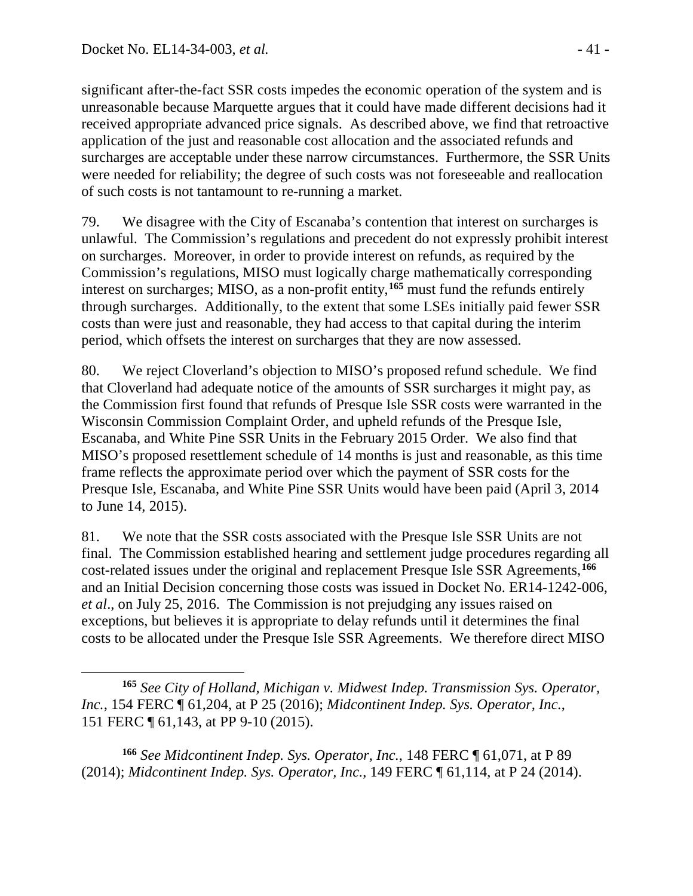significant after-the-fact SSR costs impedes the economic operation of the system and is unreasonable because Marquette argues that it could have made different decisions had it received appropriate advanced price signals. As described above, we find that retroactive application of the just and reasonable cost allocation and the associated refunds and surcharges are acceptable under these narrow circumstances. Furthermore, the SSR Units were needed for reliability; the degree of such costs was not foreseeable and reallocation of such costs is not tantamount to re-running a market.

79. We disagree with the City of Escanaba's contention that interest on surcharges is unlawful. The Commission's regulations and precedent do not expressly prohibit interest on surcharges. Moreover, in order to provide interest on refunds, as required by the Commission's regulations, MISO must logically charge mathematically corresponding interest on surcharges; MISO, as a non-profit entity,**[165](#page-40-0)** must fund the refunds entirely through surcharges. Additionally, to the extent that some LSEs initially paid fewer SSR costs than were just and reasonable, they had access to that capital during the interim period, which offsets the interest on surcharges that they are now assessed.

80. We reject Cloverland's objection to MISO's proposed refund schedule. We find that Cloverland had adequate notice of the amounts of SSR surcharges it might pay, as the Commission first found that refunds of Presque Isle SSR costs were warranted in the Wisconsin Commission Complaint Order, and upheld refunds of the Presque Isle, Escanaba, and White Pine SSR Units in the February 2015 Order. We also find that MISO's proposed resettlement schedule of 14 months is just and reasonable, as this time frame reflects the approximate period over which the payment of SSR costs for the Presque Isle, Escanaba, and White Pine SSR Units would have been paid (April 3, 2014 to June 14, 2015).

81. We note that the SSR costs associated with the Presque Isle SSR Units are not final. The Commission established hearing and settlement judge procedures regarding all cost-related issues under the original and replacement Presque Isle SSR Agreements,**[166](#page-40-1)** and an Initial Decision concerning those costs was issued in Docket No. ER14-1242-006, *et al*., on July 25, 2016. The Commission is not prejudging any issues raised on exceptions, but believes it is appropriate to delay refunds until it determines the final costs to be allocated under the Presque Isle SSR Agreements. We therefore direct MISO

<span id="page-40-1"></span>**<sup>166</sup>** *See Midcontinent Indep. Sys. Operator, Inc.*, 148 FERC ¶ 61,071, at P 89 (2014); *Midcontinent Indep. Sys. Operator, Inc.*, 149 FERC ¶ 61,114, at P 24 (2014).

<span id="page-40-0"></span> $\overline{a}$ **<sup>165</sup>** *See City of Holland, Michigan v. Midwest Indep. Transmission Sys. Operator, Inc.*, 154 FERC ¶ 61,204, at P 25 (2016); *Midcontinent Indep. Sys. Operator, Inc.*, 151 FERC ¶ 61,143, at PP 9-10 (2015).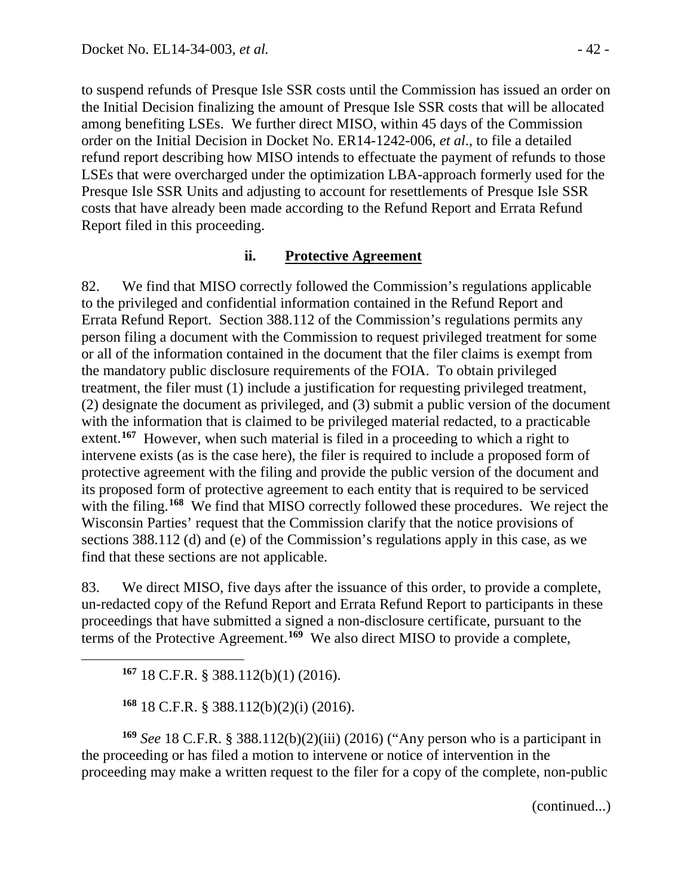to suspend refunds of Presque Isle SSR costs until the Commission has issued an order on the Initial Decision finalizing the amount of Presque Isle SSR costs that will be allocated among benefiting LSEs. We further direct MISO, within 45 days of the Commission order on the Initial Decision in Docket No. ER14-1242-006, *et al*., to file a detailed refund report describing how MISO intends to effectuate the payment of refunds to those LSEs that were overcharged under the optimization LBA-approach formerly used for the Presque Isle SSR Units and adjusting to account for resettlements of Presque Isle SSR costs that have already been made according to the Refund Report and Errata Refund Report filed in this proceeding.

#### **ii. Protective Agreement**

82. We find that MISO correctly followed the Commission's regulations applicable to the privileged and confidential information contained in the Refund Report and Errata Refund Report. Section 388.112 of the Commission's regulations permits any person filing a document with the Commission to request privileged treatment for some or all of the information contained in the document that the filer claims is exempt from the mandatory public disclosure requirements of the FOIA. To obtain privileged treatment, the filer must (1) include a justification for requesting privileged treatment, (2) designate the document as privileged, and (3) submit a public version of the document with the information that is claimed to be privileged material redacted, to a practicable extent.<sup>[167](#page-41-0)</sup> However, when such material is filed in a proceeding to which a right to intervene exists (as is the case here), the filer is required to include a proposed form of protective agreement with the filing and provide the public version of the document and its proposed form of protective agreement to each entity that is required to be serviced with the filing.<sup>[168](#page-41-1)</sup> We find that MISO correctly followed these procedures. We reject the Wisconsin Parties' request that the Commission clarify that the notice provisions of sections 388.112 (d) and (e) of the Commission's regulations apply in this case, as we find that these sections are not applicable.

83. We direct MISO, five days after the issuance of this order, to provide a complete, un-redacted copy of the Refund Report and Errata Refund Report to participants in these proceedings that have submitted a signed a non-disclosure certificate, pursuant to the terms of the Protective Agreement. **[169](#page-41-2)** We also direct MISO to provide a complete,

**<sup>167</sup>** 18 C.F.R. § 388.112(b)(1) (2016).

<span id="page-41-0"></span> $\overline{a}$ 

**<sup>168</sup>** 18 C.F.R. § 388.112(b)(2)(i) (2016).

<span id="page-41-2"></span><span id="page-41-1"></span>**<sup>169</sup>** *See* 18 C.F.R. § 388.112(b)(2)(iii) (2016) ("Any person who is a participant in the proceeding or has filed a motion to intervene or notice of intervention in the proceeding may make a written request to the filer for a copy of the complete, non-public

(continued...)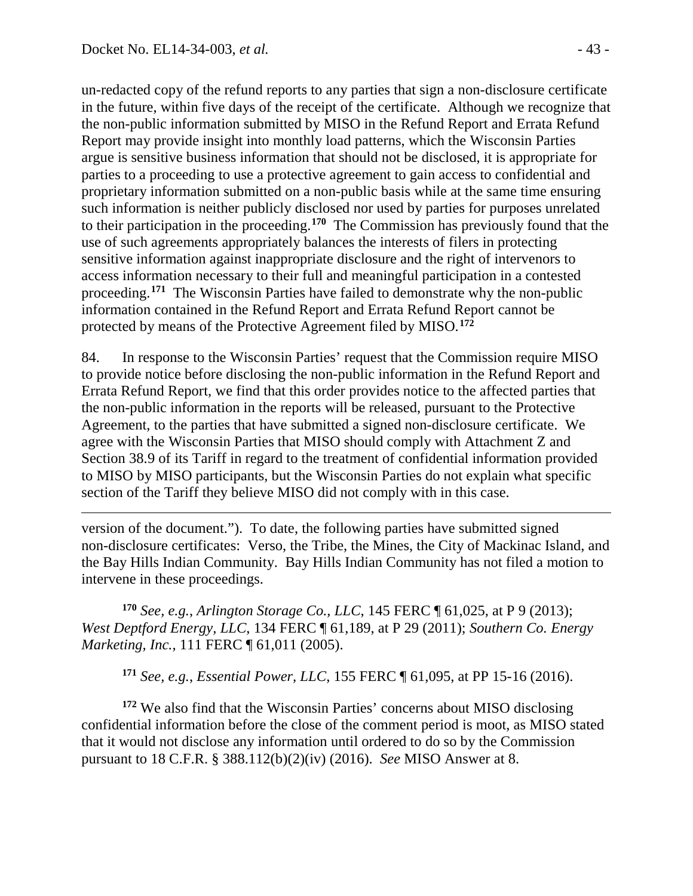$\overline{a}$ 

un-redacted copy of the refund reports to any parties that sign a non-disclosure certificate in the future, within five days of the receipt of the certificate. Although we recognize that the non-public information submitted by MISO in the Refund Report and Errata Refund Report may provide insight into monthly load patterns, which the Wisconsin Parties argue is sensitive business information that should not be disclosed, it is appropriate for parties to a proceeding to use a protective agreement to gain access to confidential and proprietary information submitted on a non-public basis while at the same time ensuring such information is neither publicly disclosed nor used by parties for purposes unrelated to their participation in the proceeding.**[170](#page-42-0)** The Commission has previously found that the use of such agreements appropriately balances the interests of filers in protecting sensitive information against inappropriate disclosure and the right of intervenors to access information necessary to their full and meaningful participation in a contested proceeding.**[171](#page-42-1)** The Wisconsin Parties have failed to demonstrate why the non-public information contained in the Refund Report and Errata Refund Report cannot be protected by means of the Protective Agreement filed by MISO.**[172](#page-42-2)**

84. In response to the Wisconsin Parties' request that the Commission require MISO to provide notice before disclosing the non-public information in the Refund Report and Errata Refund Report, we find that this order provides notice to the affected parties that the non-public information in the reports will be released, pursuant to the Protective Agreement, to the parties that have submitted a signed non-disclosure certificate. We agree with the Wisconsin Parties that MISO should comply with Attachment Z and Section 38.9 of its Tariff in regard to the treatment of confidential information provided to MISO by MISO participants, but the Wisconsin Parties do not explain what specific section of the Tariff they believe MISO did not comply with in this case.

version of the document."). To date, the following parties have submitted signed non-disclosure certificates: Verso, the Tribe, the Mines, the City of Mackinac Island, and the Bay Hills Indian Community. Bay Hills Indian Community has not filed a motion to intervene in these proceedings.

<span id="page-42-0"></span>**<sup>170</sup>** *See, e.g.*, *Arlington Storage Co., LLC*, 145 FERC ¶ 61,025, at P 9 (2013); *West Deptford Energy, LLC*, 134 FERC ¶ 61,189, at P 29 (2011); *Southern Co. Energy Marketing, Inc.*, 111 FERC ¶ 61,011 (2005).

**<sup>171</sup>** *See, e.g.*, *Essential Power, LLC*, 155 FERC ¶ 61,095, at PP 15-16 (2016).

<span id="page-42-2"></span><span id="page-42-1"></span>**<sup>172</sup>** We also find that the Wisconsin Parties' concerns about MISO disclosing confidential information before the close of the comment period is moot, as MISO stated that it would not disclose any information until ordered to do so by the Commission pursuant to 18 C.F.R. § 388.112(b)(2)(iv) (2016). *See* MISO Answer at 8.